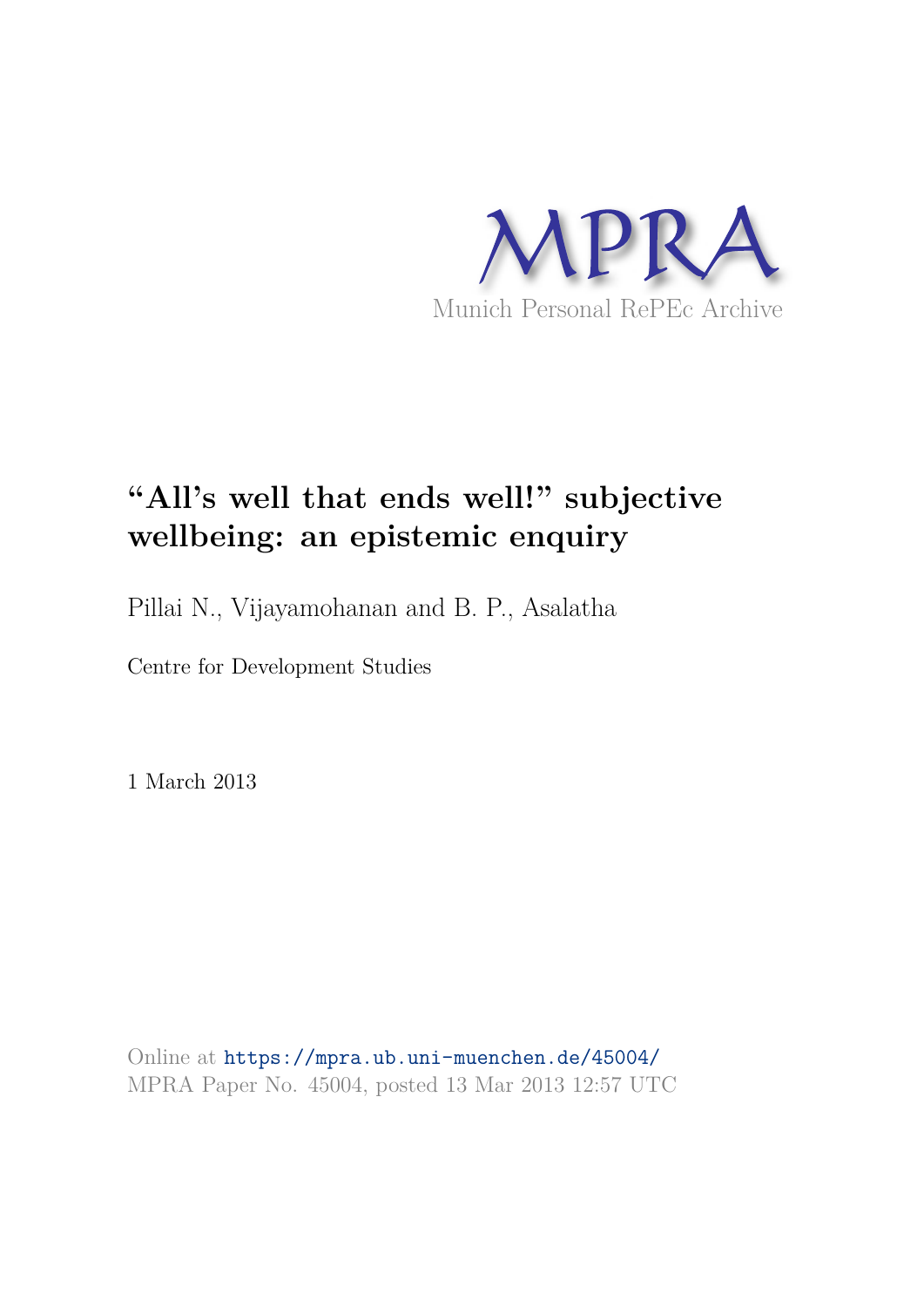

# **"All's well that ends well!" subjective wellbeing: an epistemic enquiry**

Pillai N., Vijayamohanan and B. P., Asalatha

Centre for Development Studies

1 March 2013

Online at https://mpra.ub.uni-muenchen.de/45004/ MPRA Paper No. 45004, posted 13 Mar 2013 12:57 UTC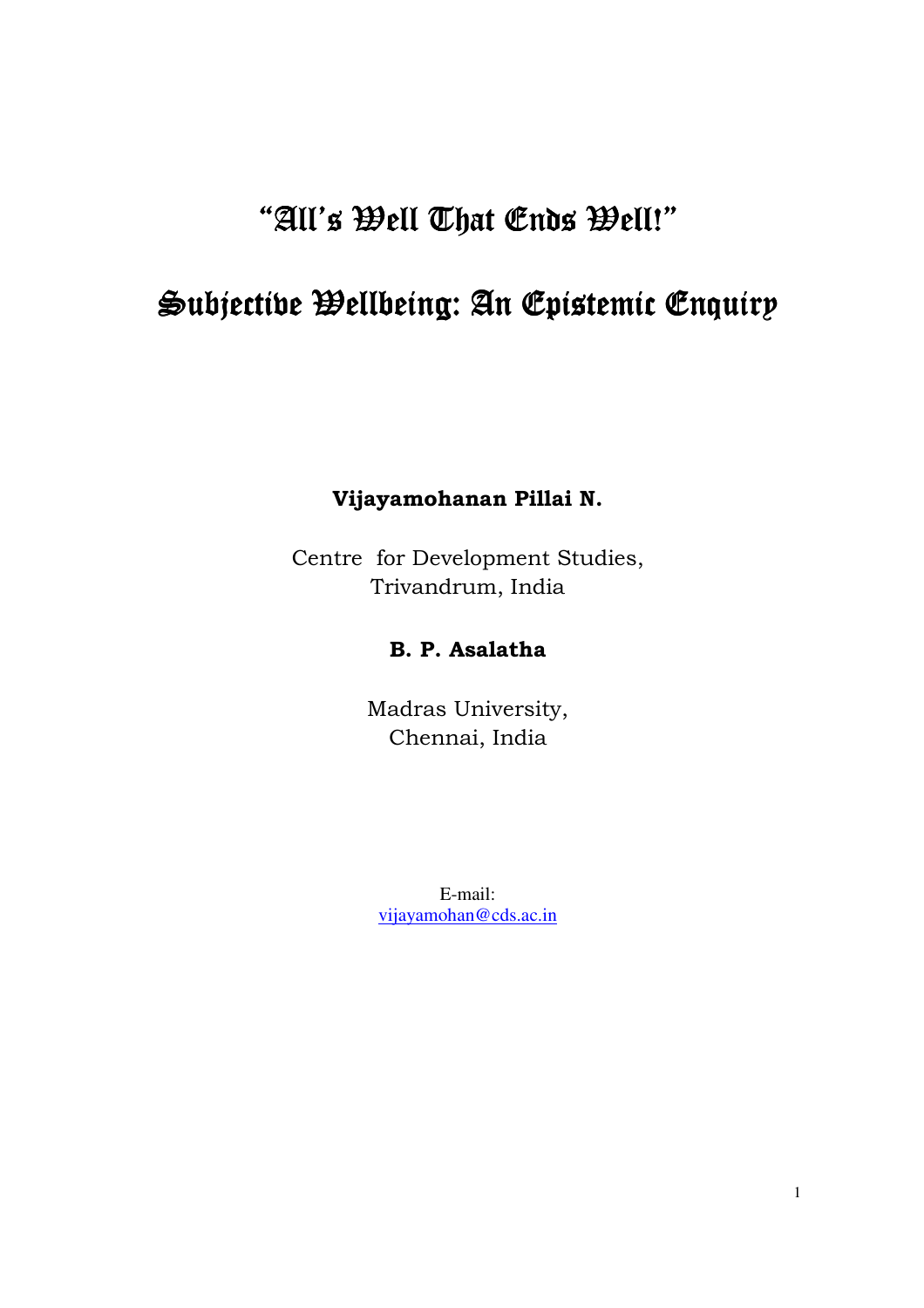# "All's Well That Ends Well!"

## Subjective Wellbeing: An Epistemic Enquiry

## **Vijayamohanan Pillai N.**

Centre for Development Studies, Trivandrum, India

## **B. P. Asalatha**

Madras University, Chennai, India

E-mail: vijayamohan@cds.ac.in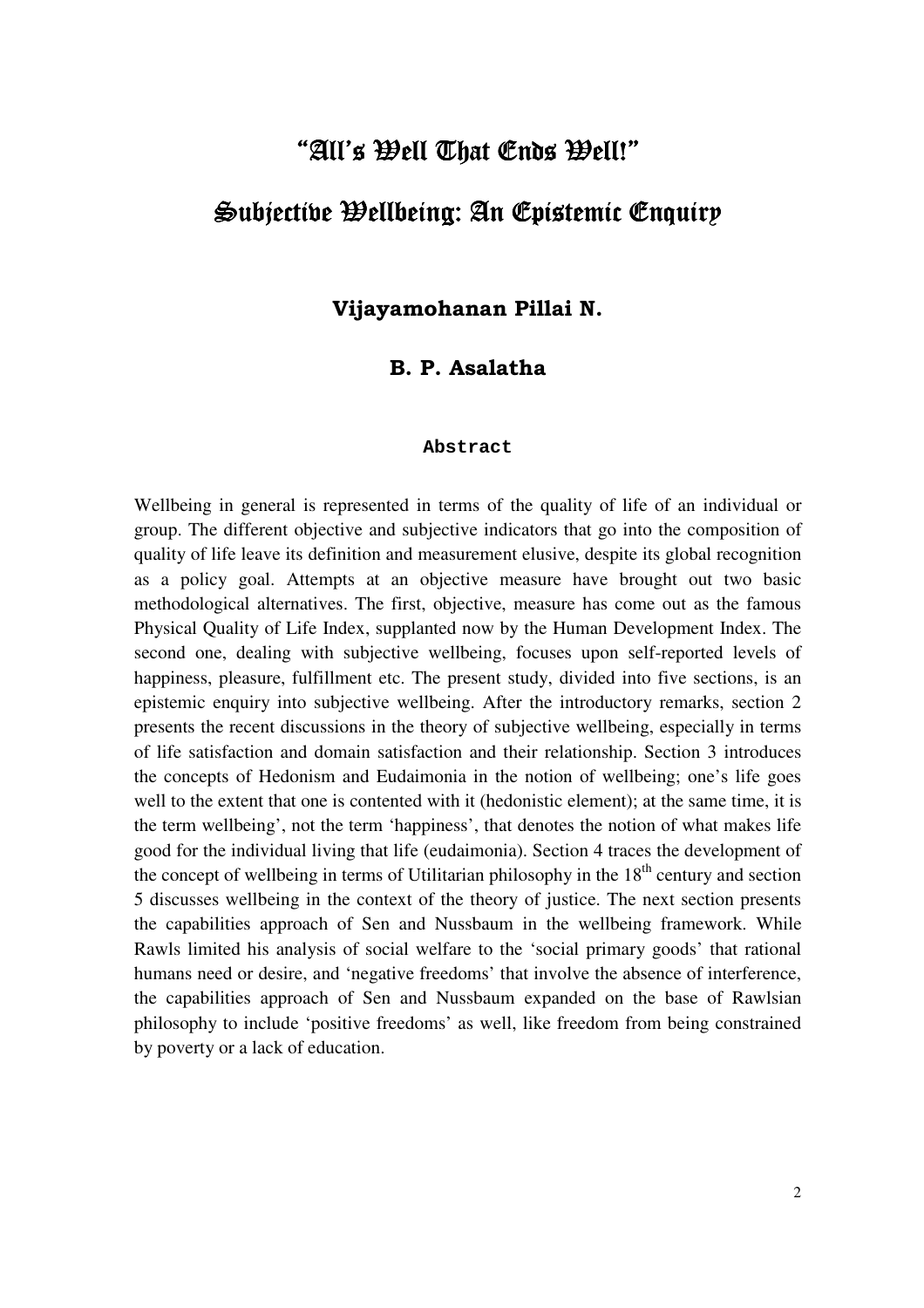# "All's Well That Ends Well!"  $\mathfrak{Sub}\mathfrak{ic}$ ttive Wellbeing: An Epistemic Enquir $\nu$

**Vijayamohanan Pillai N.** 

### **B. P. Asalatha**

#### **Abstract**

Wellbeing in general is represented in terms of the quality of life of an individual or group. The different objective and subjective indicators that go into the composition of quality of life leave its definition and measurement elusive, despite its global recognition as a policy goal. Attempts at an objective measure have brought out two basic methodological alternatives. The first, objective, measure has come out as the famous Physical Quality of Life Index, supplanted now by the Human Development Index. The second one, dealing with subjective wellbeing, focuses upon self-reported levels of happiness, pleasure, fulfillment etc. The present study, divided into five sections, is an epistemic enquiry into subjective wellbeing. After the introductory remarks, section 2 presents the recent discussions in the theory of subjective wellbeing, especially in terms of life satisfaction and domain satisfaction and their relationship. Section 3 introduces the concepts of Hedonism and Eudaimonia in the notion of wellbeing; one's life goes well to the extent that one is contented with it (hedonistic element); at the same time, it is the term wellbeing', not the term 'happiness', that denotes the notion of what makes life good for the individual living that life (eudaimonia). Section 4 traces the development of the concept of wellbeing in terms of Utilitarian philosophy in the  $18<sup>th</sup>$  century and section 5 discusses wellbeing in the context of the theory of justice. The next section presents the capabilities approach of Sen and Nussbaum in the wellbeing framework. While Rawls limited his analysis of social welfare to the 'social primary goods' that rational humans need or desire, and 'negative freedoms' that involve the absence of interference, the capabilities approach of Sen and Nussbaum expanded on the base of Rawlsian philosophy to include 'positive freedoms' as well, like freedom from being constrained by poverty or a lack of education.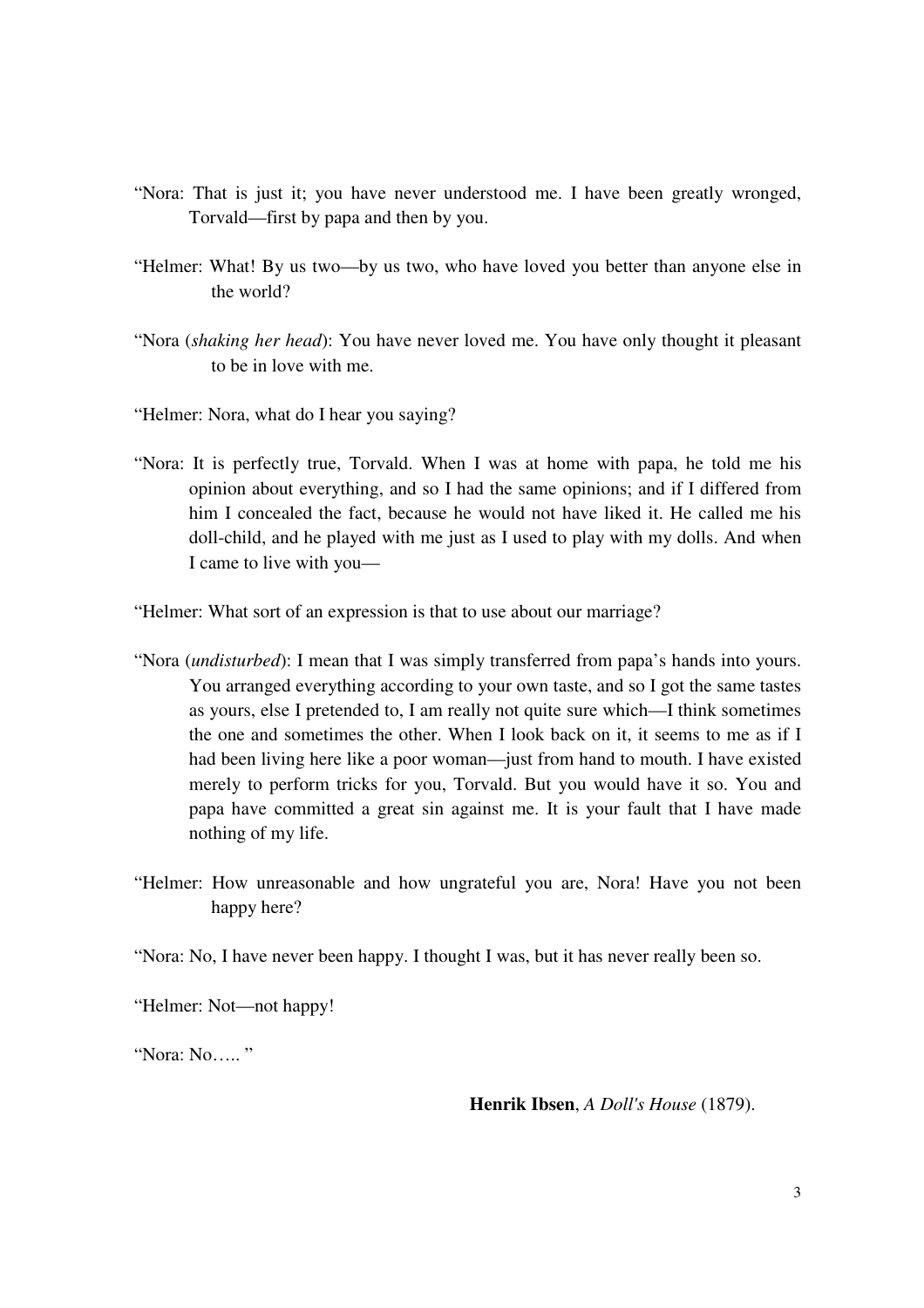- "Nora: That is just it; you have never understood me. I have been greatly wronged, Torvald—first by papa and then by you.
- "Helmer: What! By us two—by us two, who have loved you better than anyone else in the world?
- "Nora (*shaking her head*): You have never loved me. You have only thought it pleasant to be in love with me.
- "Helmer: Nora, what do I hear you saying?
- "Nora: It is perfectly true, Torvald. When I was at home with papa, he told me his opinion about everything, and so I had the same opinions; and if I differed from him I concealed the fact, because he would not have liked it. He called me his doll-child, and he played with me just as I used to play with my dolls. And when I came to live with you—

"Helmer: What sort of an expression is that to use about our marriage?

- "Nora (*undisturbed*): I mean that I was simply transferred from papa's hands into yours. You arranged everything according to your own taste, and so I got the same tastes as yours, else I pretended to, I am really not quite sure which—I think sometimes the one and sometimes the other. When I look back on it, it seems to me as if I had been living here like a poor woman—just from hand to mouth. I have existed merely to perform tricks for you, Torvald. But you would have it so. You and papa have committed a great sin against me. It is your fault that I have made nothing of my life.
- "Helmer: How unreasonable and how ungrateful you are, Nora! Have you not been happy here?

"Nora: No, I have never been happy. I thought I was, but it has never really been so.

"Helmer: Not—not happy!

"Nora: No….. "

**Henrik Ibsen**, *A Doll's House* (1879).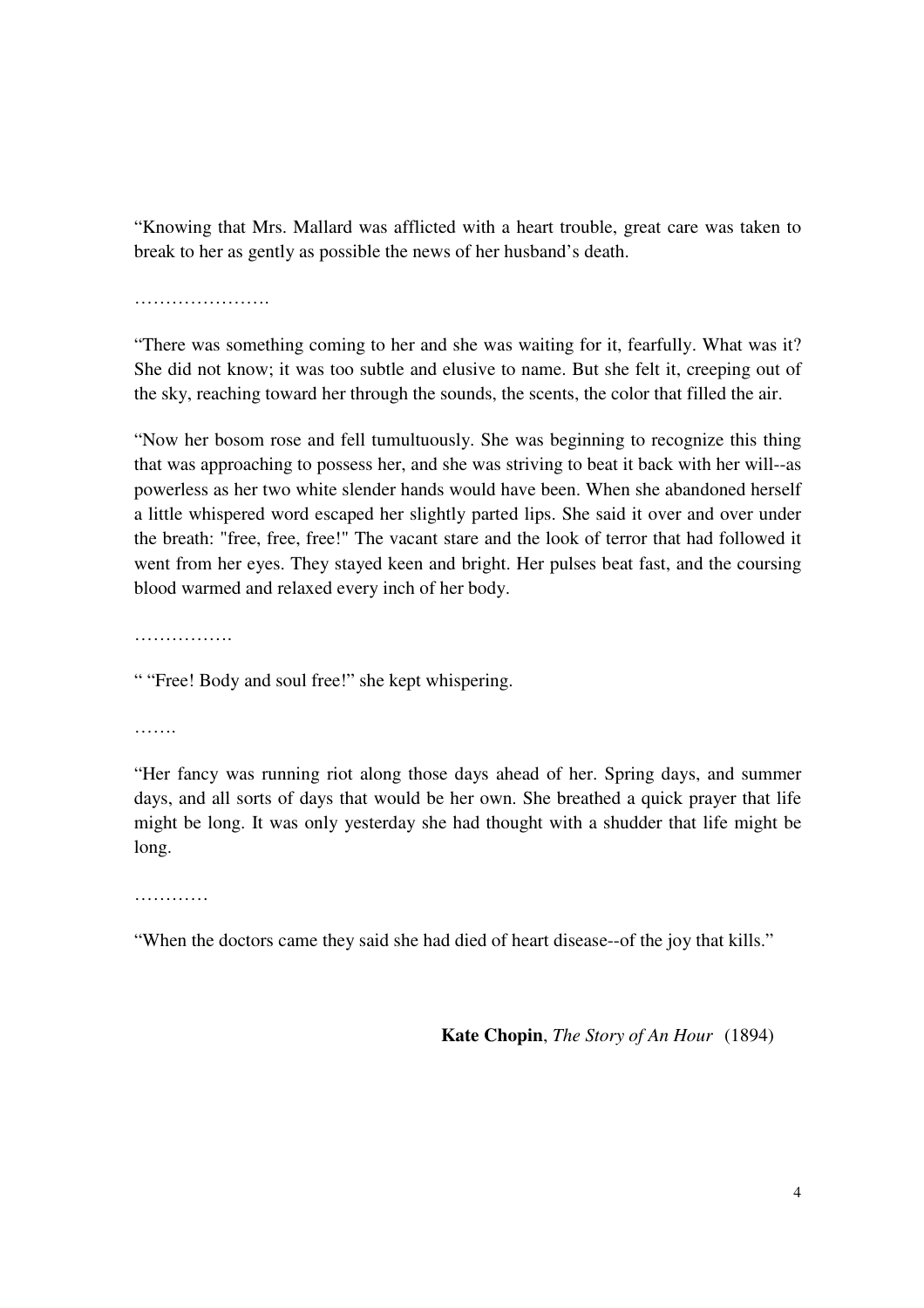"Knowing that Mrs. Mallard was afflicted with a heart trouble, great care was taken to break to her as gently as possible the news of her husband's death.

………………………

"There was something coming to her and she was waiting for it, fearfully. What was it? She did not know; it was too subtle and elusive to name. But she felt it, creeping out of the sky, reaching toward her through the sounds, the scents, the color that filled the air.

"Now her bosom rose and fell tumultuously. She was beginning to recognize this thing that was approaching to possess her, and she was striving to beat it back with her will--as powerless as her two white slender hands would have been. When she abandoned herself a little whispered word escaped her slightly parted lips. She said it over and over under the breath: "free, free, free!" The vacant stare and the look of terror that had followed it went from her eyes. They stayed keen and bright. Her pulses beat fast, and the coursing blood warmed and relaxed every inch of her body.

……………

" "Free! Body and soul free!" she kept whispering.

………

"Her fancy was running riot along those days ahead of her. Spring days, and summer days, and all sorts of days that would be her own. She breathed a quick prayer that life might be long. It was only yesterday she had thought with a shudder that life might be long.

…………

"When the doctors came they said she had died of heart disease--of the joy that kills."

 **Kate Chopin**, *The Story of An Hour* (1894)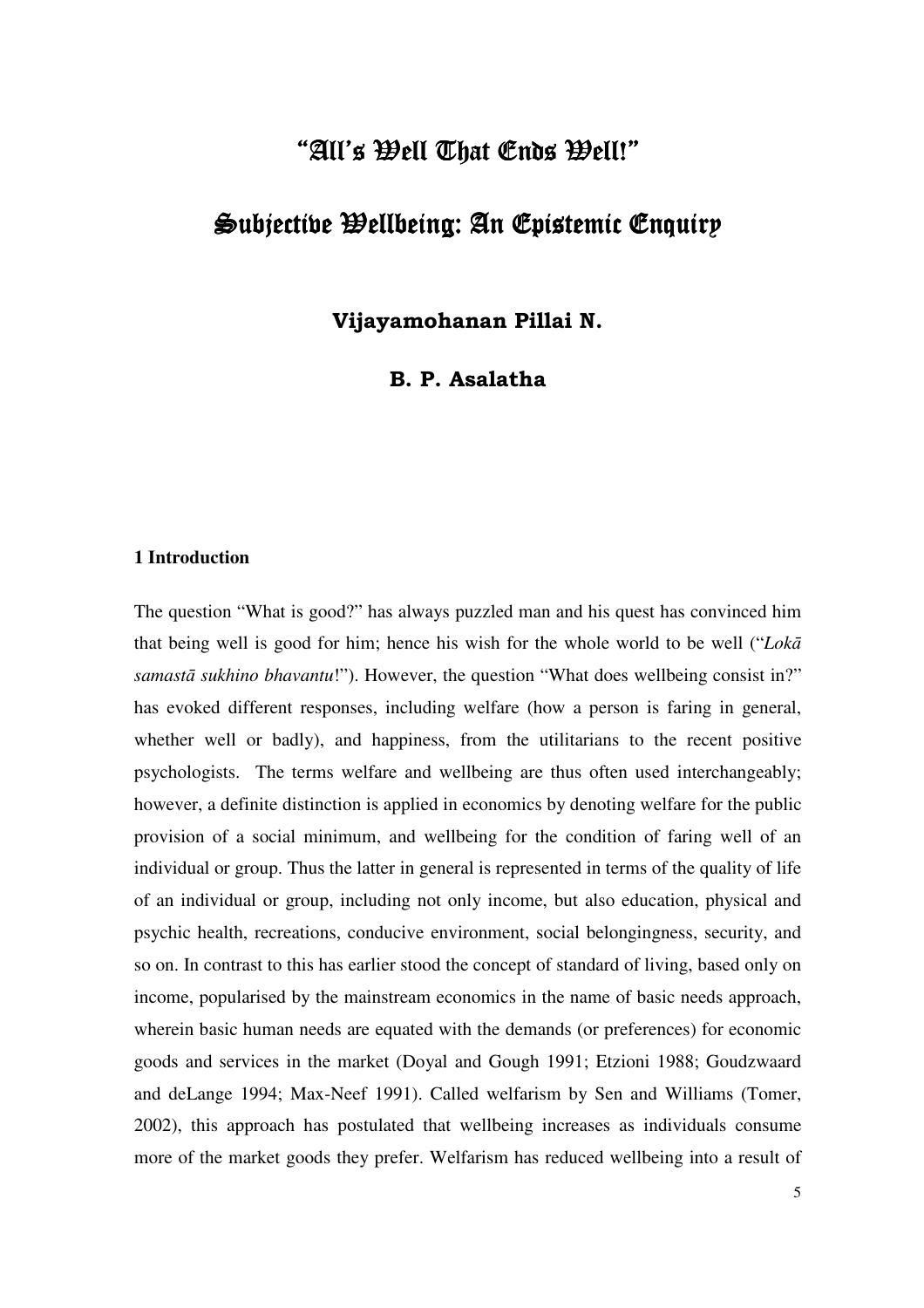## "All's Well That Ends Well!"

## Subjective Wellbeing: An Epistemic Enquiry

**Vijayamohanan Pillai N.** 

**B. P. Asalatha** 

#### **1 Introduction**

The question "What is good?" has always puzzled man and his quest has convinced him that being well is good for him; hence his wish for the whole world to be well ("*Lokā samastā sukhino bhavantu*!"). However, the question "What does wellbeing consist in?" has evoked different responses, including welfare (how a person is faring in general, whether well or badly), and happiness, from the utilitarians to the recent positive psychologists. The terms welfare and wellbeing are thus often used interchangeably; however, a definite distinction is applied in economics by denoting welfare for the public provision of a social minimum, and wellbeing for the condition of faring well of an individual or group. Thus the latter in general is represented in terms of the quality of life of an individual or group, including not only income, but also education, physical and psychic health, recreations, conducive environment, social belongingness, security, and so on. In contrast to this has earlier stood the concept of standard of living, based only on income, popularised by the mainstream economics in the name of basic needs approach, wherein basic human needs are equated with the demands (or preferences) for economic goods and services in the market (Doyal and Gough 1991; Etzioni 1988; Goudzwaard and deLange 1994; Max-Neef 1991). Called welfarism by Sen and Williams (Tomer, 2002), this approach has postulated that wellbeing increases as individuals consume more of the market goods they prefer. Welfarism has reduced wellbeing into a result of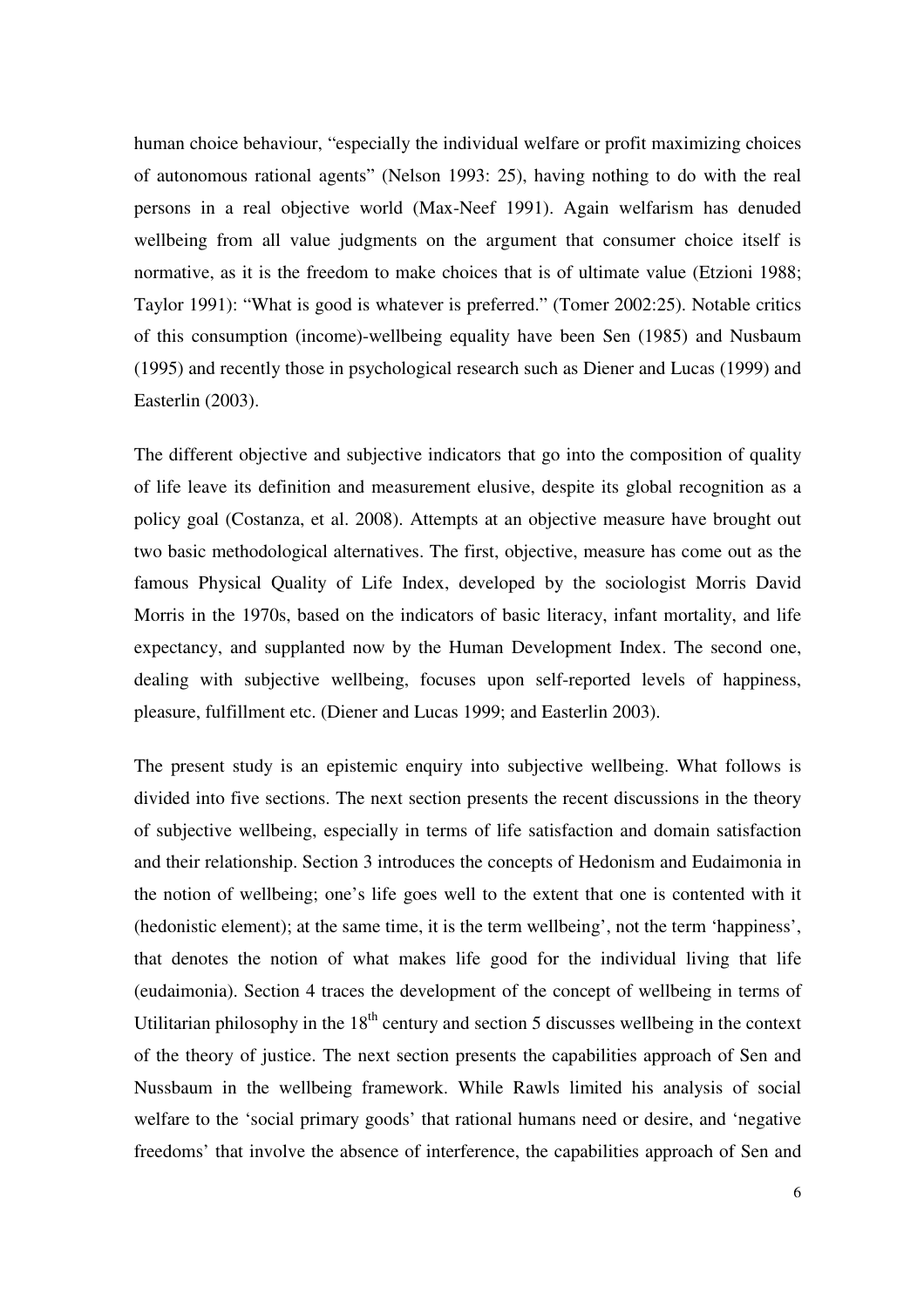human choice behaviour, "especially the individual welfare or profit maximizing choices of autonomous rational agents" (Nelson 1993: 25), having nothing to do with the real persons in a real objective world (Max-Neef 1991). Again welfarism has denuded wellbeing from all value judgments on the argument that consumer choice itself is normative, as it is the freedom to make choices that is of ultimate value (Etzioni 1988; Taylor 1991): "What is good is whatever is preferred." (Tomer 2002:25). Notable critics of this consumption (income)-wellbeing equality have been Sen (1985) and Nusbaum (1995) and recently those in psychological research such as Diener and Lucas (1999) and Easterlin (2003).

The different objective and subjective indicators that go into the composition of quality of life leave its definition and measurement elusive, despite its global recognition as a policy goal (Costanza, et al. 2008). Attempts at an objective measure have brought out two basic methodological alternatives. The first, objective, measure has come out as the famous Physical Quality of Life Index, developed by the sociologist Morris David Morris in the 1970s, based on the indicators of basic literacy, infant mortality, and life expectancy, and supplanted now by the Human Development Index. The second one, dealing with subjective wellbeing, focuses upon self-reported levels of happiness, pleasure, fulfillment etc. (Diener and Lucas 1999; and Easterlin 2003).

The present study is an epistemic enquiry into subjective wellbeing. What follows is divided into five sections. The next section presents the recent discussions in the theory of subjective wellbeing, especially in terms of life satisfaction and domain satisfaction and their relationship. Section 3 introduces the concepts of Hedonism and Eudaimonia in the notion of wellbeing; one's life goes well to the extent that one is contented with it (hedonistic element); at the same time, it is the term wellbeing', not the term 'happiness', that denotes the notion of what makes life good for the individual living that life (eudaimonia). Section 4 traces the development of the concept of wellbeing in terms of Utilitarian philosophy in the  $18<sup>th</sup>$  century and section 5 discusses wellbeing in the context of the theory of justice. The next section presents the capabilities approach of Sen and Nussbaum in the wellbeing framework. While Rawls limited his analysis of social welfare to the 'social primary goods' that rational humans need or desire, and 'negative freedoms' that involve the absence of interference, the capabilities approach of Sen and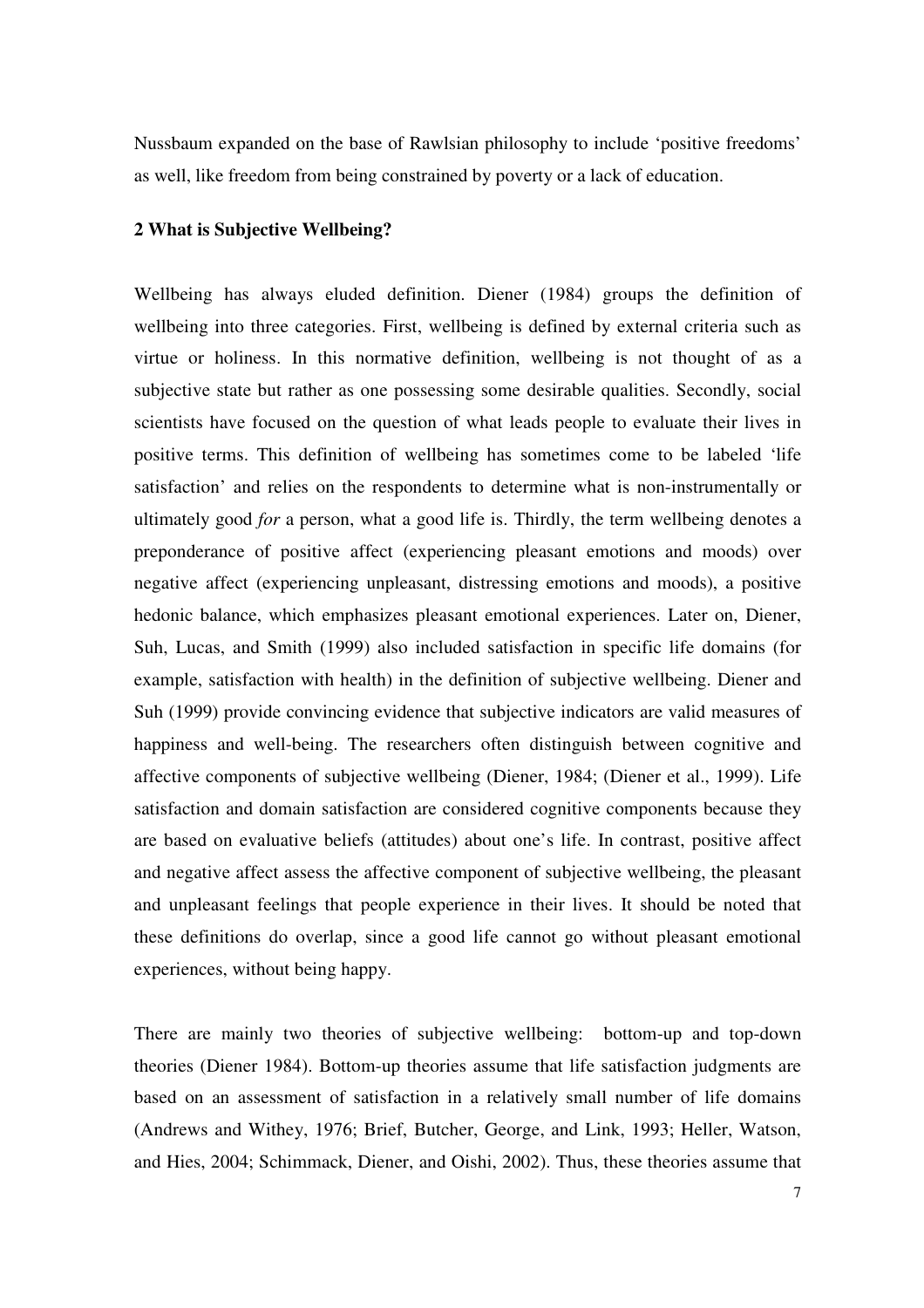Nussbaum expanded on the base of Rawlsian philosophy to include 'positive freedoms' as well, like freedom from being constrained by poverty or a lack of education.

#### **2 What is Subjective Wellbeing?**

Wellbeing has always eluded definition. Diener (1984) groups the definition of wellbeing into three categories. First, wellbeing is defined by external criteria such as virtue or holiness. In this normative definition, wellbeing is not thought of as a subjective state but rather as one possessing some desirable qualities. Secondly, social scientists have focused on the question of what leads people to evaluate their lives in positive terms. This definition of wellbeing has sometimes come to be labeled 'life satisfaction' and relies on the respondents to determine what is non-instrumentally or ultimately good *for* a person, what a good life is. Thirdly, the term wellbeing denotes a preponderance of positive affect (experiencing pleasant emotions and moods) over negative affect (experiencing unpleasant, distressing emotions and moods), a positive hedonic balance, which emphasizes pleasant emotional experiences. Later on, Diener, Suh, Lucas, and Smith (1999) also included satisfaction in specific life domains (for example, satisfaction with health) in the definition of subjective wellbeing. Diener and Suh (1999) provide convincing evidence that subjective indicators are valid measures of happiness and well-being. The researchers often distinguish between cognitive and affective components of subjective wellbeing (Diener, 1984; (Diener et al., 1999). Life satisfaction and domain satisfaction are considered cognitive components because they are based on evaluative beliefs (attitudes) about one's life. In contrast, positive affect and negative affect assess the affective component of subjective wellbeing, the pleasant and unpleasant feelings that people experience in their lives. It should be noted that these definitions do overlap, since a good life cannot go without pleasant emotional experiences, without being happy.

There are mainly two theories of subjective wellbeing: bottom-up and top-down theories (Diener 1984). Bottom-up theories assume that life satisfaction judgments are based on an assessment of satisfaction in a relatively small number of life domains (Andrews and Withey, 1976; Brief, Butcher, George, and Link, 1993; Heller, Watson, and Hies, 2004; Schimmack, Diener, and Oishi, 2002). Thus, these theories assume that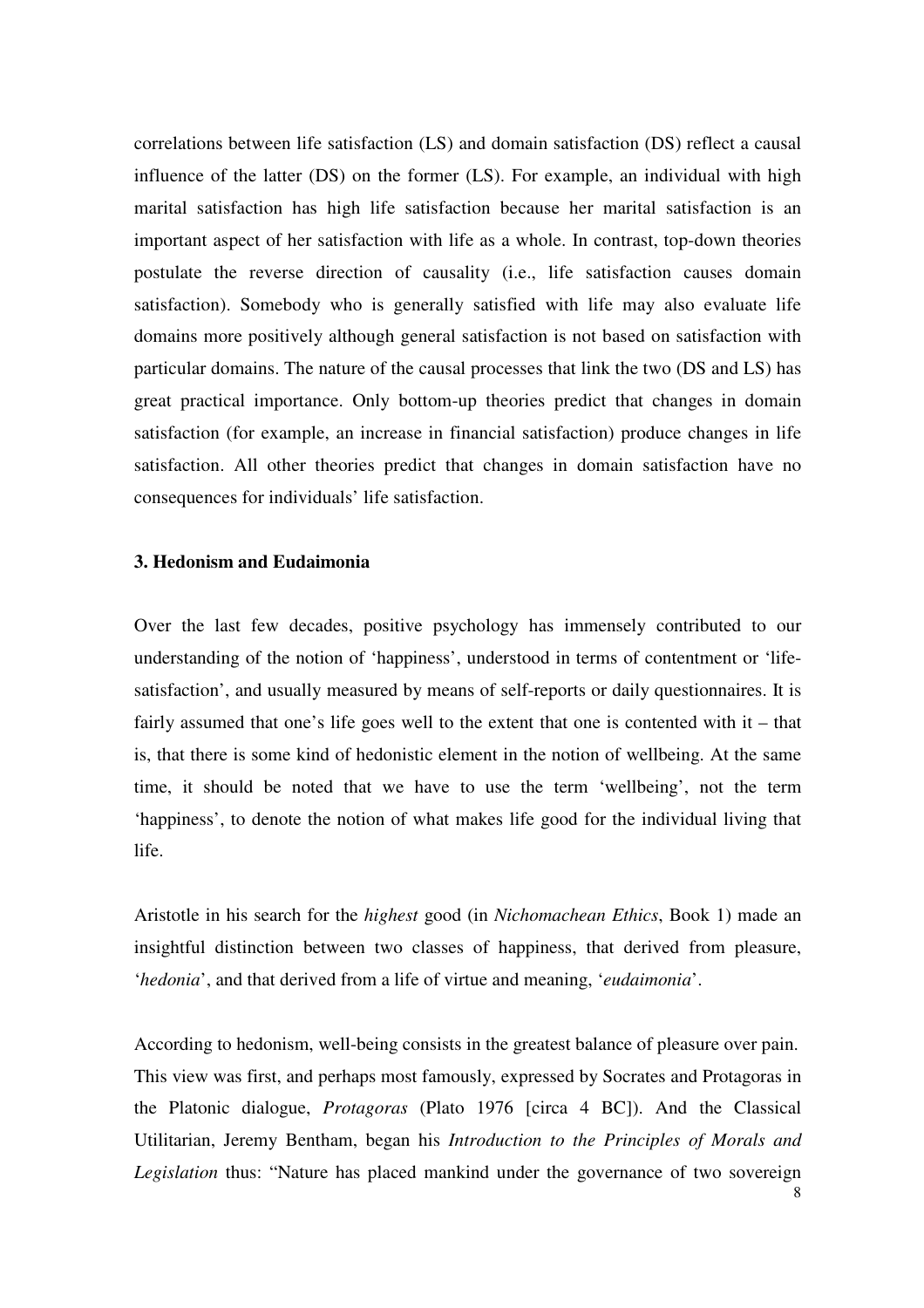correlations between life satisfaction (LS) and domain satisfaction (DS) reflect a causal influence of the latter (DS) on the former (LS). For example, an individual with high marital satisfaction has high life satisfaction because her marital satisfaction is an important aspect of her satisfaction with life as a whole. In contrast, top-down theories postulate the reverse direction of causality (i.e., life satisfaction causes domain satisfaction). Somebody who is generally satisfied with life may also evaluate life domains more positively although general satisfaction is not based on satisfaction with particular domains. The nature of the causal processes that link the two (DS and LS) has great practical importance. Only bottom-up theories predict that changes in domain satisfaction (for example, an increase in financial satisfaction) produce changes in life satisfaction. All other theories predict that changes in domain satisfaction have no consequences for individuals' life satisfaction.

#### **3. Hedonism and Eudaimonia**

Over the last few decades, positive psychology has immensely contributed to our understanding of the notion of 'happiness', understood in terms of contentment or 'lifesatisfaction', and usually measured by means of self-reports or daily questionnaires. It is fairly assumed that one's life goes well to the extent that one is contented with it – that is, that there is some kind of hedonistic element in the notion of wellbeing. At the same time, it should be noted that we have to use the term 'wellbeing', not the term 'happiness', to denote the notion of what makes life good for the individual living that life.

Aristotle in his search for the *highest* good (in *Nichomachean Ethics*, Book 1) made an insightful distinction between two classes of happiness, that derived from pleasure, '*hedonia*', and that derived from a life of virtue and meaning, '*eudaimonia*'.

According to hedonism, well-being consists in the greatest balance of pleasure over pain. This view was first, and perhaps most famously, expressed by Socrates and Protagoras in the Platonic dialogue, *Protagoras* (Plato 1976 [circa 4 BC]). And the Classical Utilitarian, Jeremy Bentham, began his *Introduction to the Principles of Morals and Legislation* thus: "Nature has placed mankind under the governance of two sovereign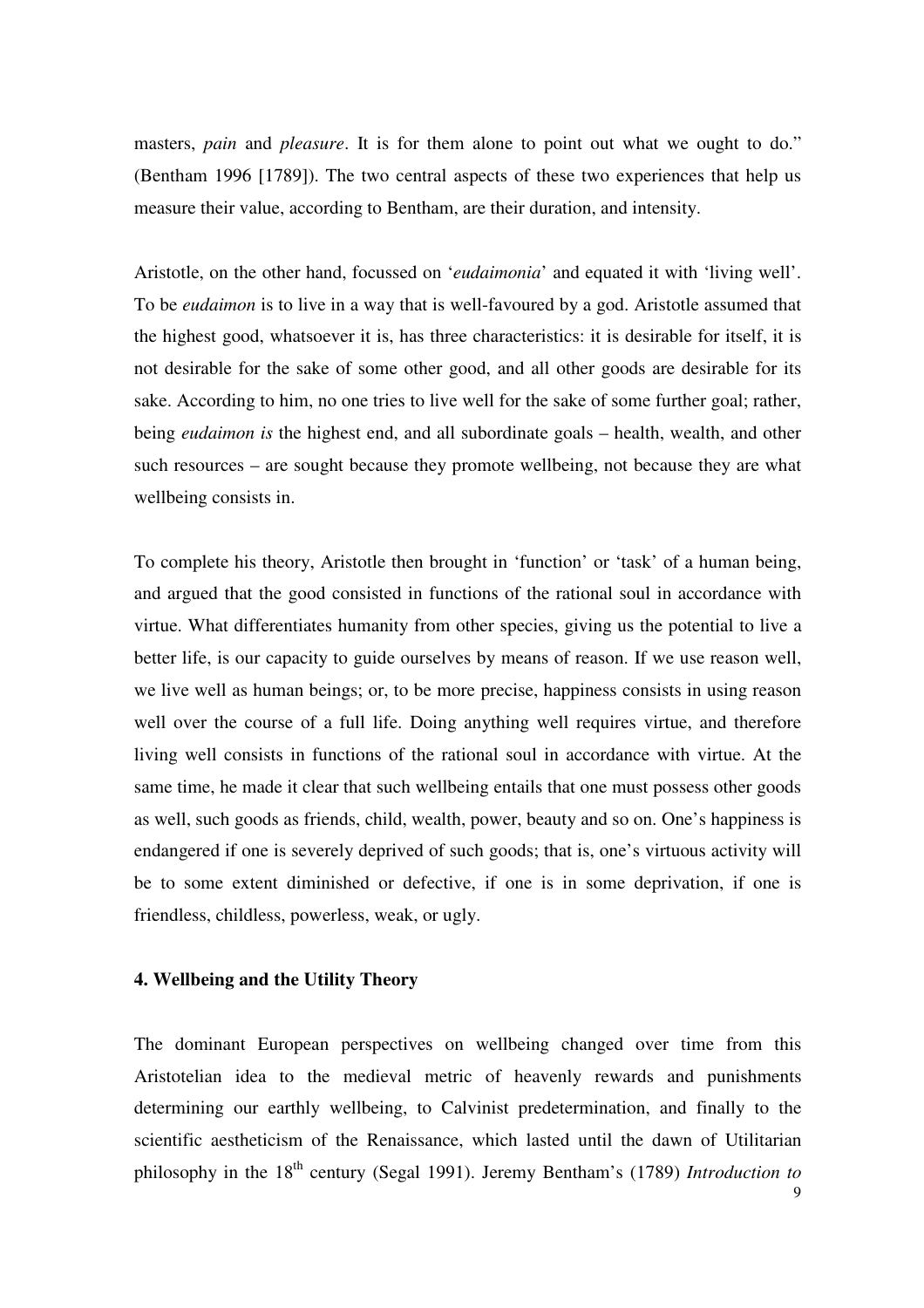masters, *pain* and *pleasure*. It is for them alone to point out what we ought to do." (Bentham 1996 [1789]). The two central aspects of these two experiences that help us measure their value, according to Bentham, are their duration, and intensity.

Aristotle, on the other hand, focussed on '*eudaimonia*' and equated it with 'living well'. To be *eudaimon* is to live in a way that is well-favoured by a god. Aristotle assumed that the highest good, whatsoever it is, has three characteristics: it is desirable for itself, it is not desirable for the sake of some other good, and all other goods are desirable for its sake. According to him, no one tries to live well for the sake of some further goal; rather, being *eudaimon is* the highest end, and all subordinate goals – health, wealth, and other such resources – are sought because they promote wellbeing, not because they are what wellbeing consists in.

To complete his theory, Aristotle then brought in 'function' or 'task' of a human being, and argued that the good consisted in functions of the rational soul in accordance with virtue. What differentiates humanity from other species, giving us the potential to live a better life, is our capacity to guide ourselves by means of reason. If we use reason well, we live well as human beings; or, to be more precise, happiness consists in using reason well over the course of a full life. Doing anything well requires virtue, and therefore living well consists in functions of the rational soul in accordance with virtue. At the same time, he made it clear that such wellbeing entails that one must possess other goods as well, such goods as friends, child, wealth, power, beauty and so on. One's happiness is endangered if one is severely deprived of such goods; that is, one's virtuous activity will be to some extent diminished or defective, if one is in some deprivation, if one is friendless, childless, powerless, weak, or ugly.

#### **4. Wellbeing and the Utility Theory**

The dominant European perspectives on wellbeing changed over time from this Aristotelian idea to the medieval metric of heavenly rewards and punishments determining our earthly wellbeing, to Calvinist predetermination, and finally to the scientific aestheticism of the Renaissance, which lasted until the dawn of Utilitarian philosophy in the 18<sup>th</sup> century (Segal 1991). Jeremy Bentham's (1789) *Introduction to*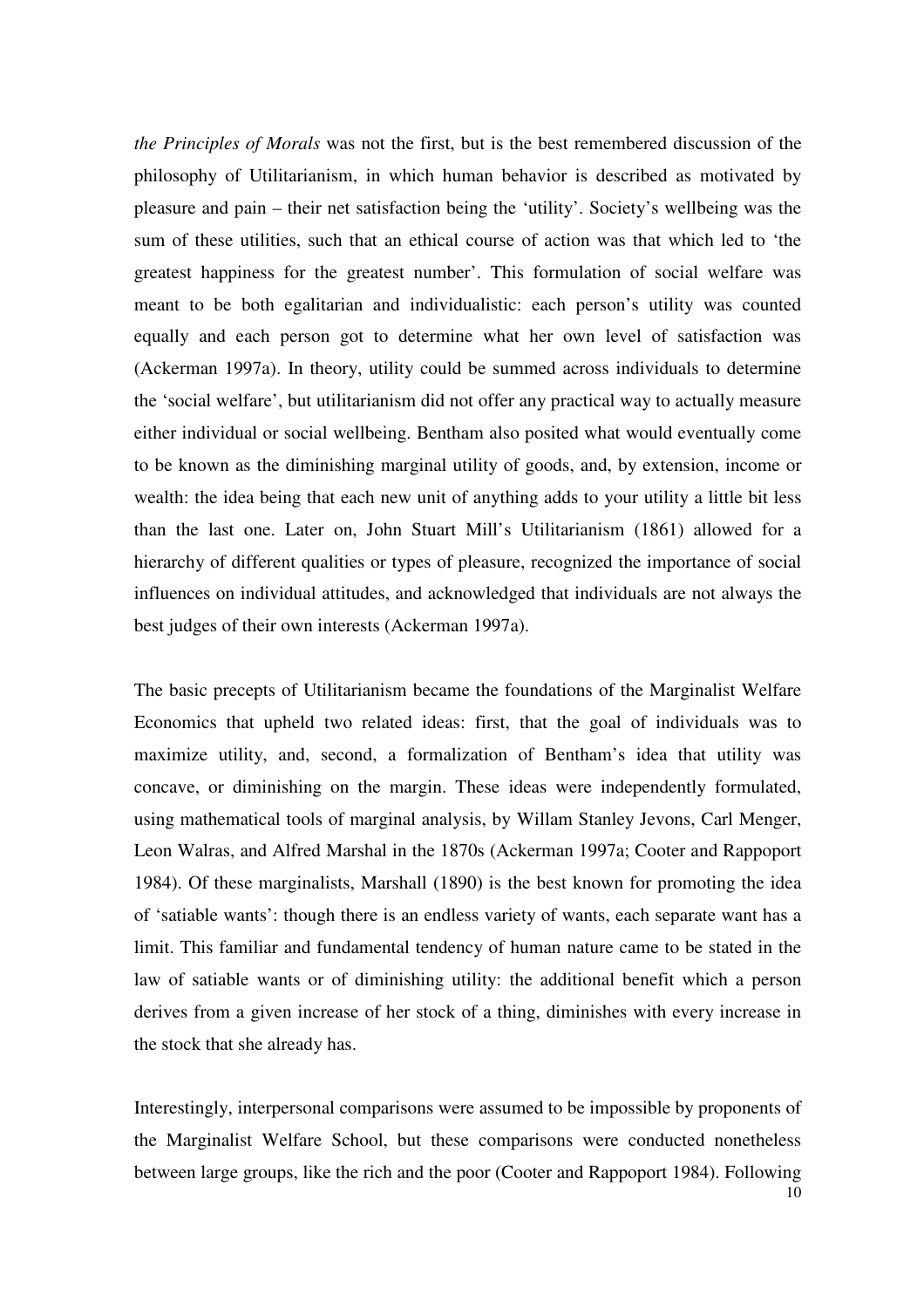*the Principles of Morals* was not the first, but is the best remembered discussion of the philosophy of Utilitarianism, in which human behavior is described as motivated by pleasure and pain – their net satisfaction being the 'utility'. Society's wellbeing was the sum of these utilities, such that an ethical course of action was that which led to 'the greatest happiness for the greatest number'. This formulation of social welfare was meant to be both egalitarian and individualistic: each person's utility was counted equally and each person got to determine what her own level of satisfaction was (Ackerman 1997a). In theory, utility could be summed across individuals to determine the 'social welfare', but utilitarianism did not offer any practical way to actually measure either individual or social wellbeing. Bentham also posited what would eventually come to be known as the diminishing marginal utility of goods, and, by extension, income or wealth: the idea being that each new unit of anything adds to your utility a little bit less than the last one. Later on, John Stuart Mill's Utilitarianism (1861) allowed for a hierarchy of different qualities or types of pleasure, recognized the importance of social influences on individual attitudes, and acknowledged that individuals are not always the best judges of their own interests (Ackerman 1997a).

The basic precepts of Utilitarianism became the foundations of the Marginalist Welfare Economics that upheld two related ideas: first, that the goal of individuals was to maximize utility, and, second, a formalization of Bentham's idea that utility was concave, or diminishing on the margin. These ideas were independently formulated, using mathematical tools of marginal analysis, by Willam Stanley Jevons, Carl Menger, Leon Walras, and Alfred Marshal in the 1870s (Ackerman 1997a; Cooter and Rappoport 1984). Of these marginalists, Marshall (1890) is the best known for promoting the idea of 'satiable wants': though there is an endless variety of wants, each separate want has a limit. This familiar and fundamental tendency of human nature came to be stated in the law of satiable wants or of diminishing utility: the additional benefit which a person derives from a given increase of her stock of a thing, diminishes with every increase in the stock that she already has.

Interestingly, interpersonal comparisons were assumed to be impossible by proponents of the Marginalist Welfare School, but these comparisons were conducted nonetheless between large groups, like the rich and the poor (Cooter and Rappoport 1984). Following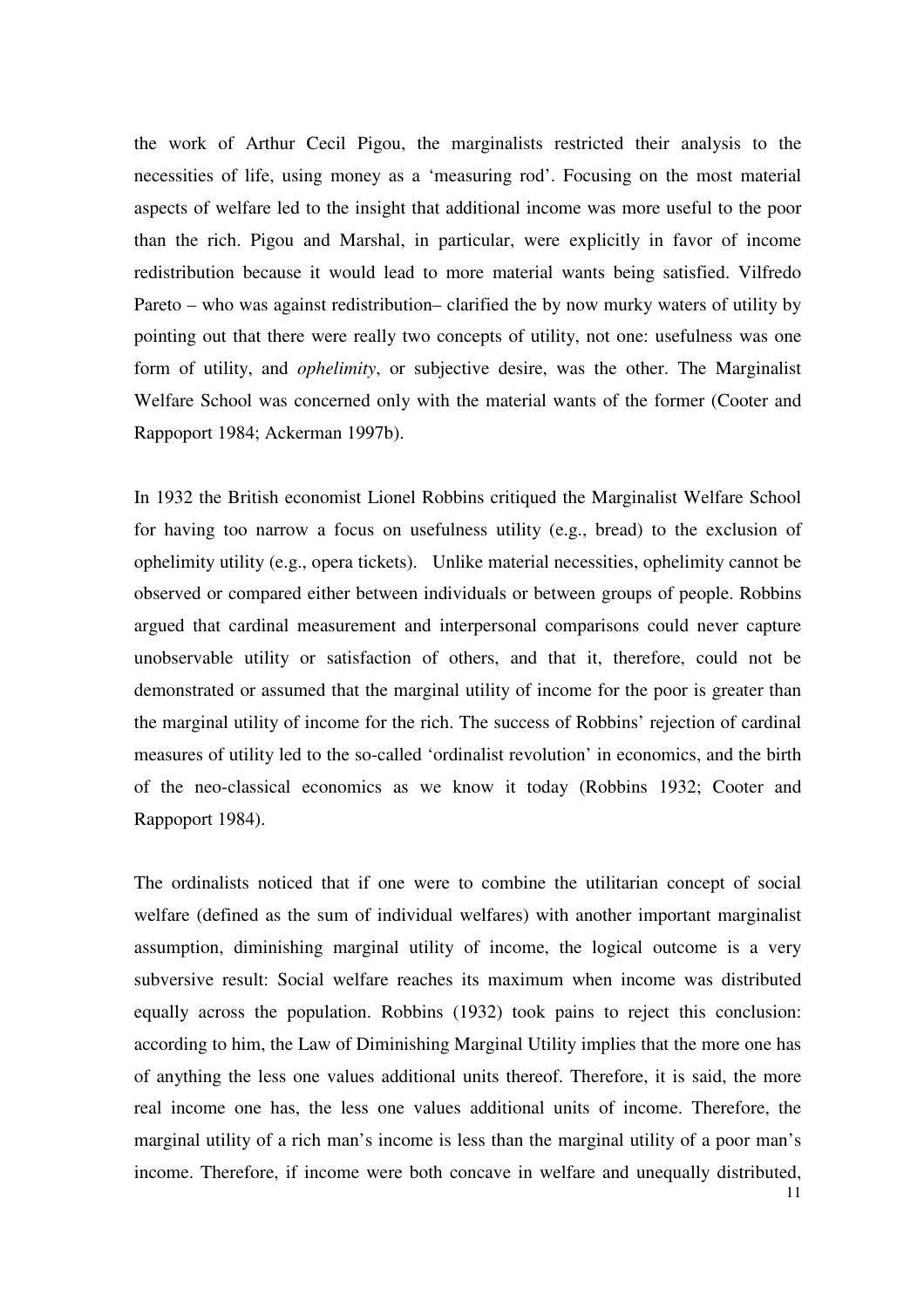the work of Arthur Cecil Pigou, the marginalists restricted their analysis to the necessities of life, using money as a 'measuring rod'. Focusing on the most material aspects of welfare led to the insight that additional income was more useful to the poor than the rich. Pigou and Marshal, in particular, were explicitly in favor of income redistribution because it would lead to more material wants being satisfied. Vilfredo Pareto – who was against redistribution– clarified the by now murky waters of utility by pointing out that there were really two concepts of utility, not one: usefulness was one form of utility, and *ophelimity*, or subjective desire, was the other. The Marginalist Welfare School was concerned only with the material wants of the former (Cooter and Rappoport 1984; Ackerman 1997b).

In 1932 the British economist Lionel Robbins critiqued the Marginalist Welfare School for having too narrow a focus on usefulness utility (e.g., bread) to the exclusion of ophelimity utility (e.g., opera tickets). Unlike material necessities, ophelimity cannot be observed or compared either between individuals or between groups of people. Robbins argued that cardinal measurement and interpersonal comparisons could never capture unobservable utility or satisfaction of others, and that it, therefore, could not be demonstrated or assumed that the marginal utility of income for the poor is greater than the marginal utility of income for the rich. The success of Robbins' rejection of cardinal measures of utility led to the so-called 'ordinalist revolution' in economics, and the birth of the neo-classical economics as we know it today (Robbins 1932; Cooter and Rappoport 1984).

The ordinalists noticed that if one were to combine the utilitarian concept of social welfare (defined as the sum of individual welfares) with another important marginalist assumption, diminishing marginal utility of income, the logical outcome is a very subversive result: Social welfare reaches its maximum when income was distributed equally across the population. Robbins (1932) took pains to reject this conclusion: according to him, the Law of Diminishing Marginal Utility implies that the more one has of anything the less one values additional units thereof. Therefore, it is said, the more real income one has, the less one values additional units of income. Therefore, the marginal utility of a rich man's income is less than the marginal utility of a poor man's income. Therefore, if income were both concave in welfare and unequally distributed,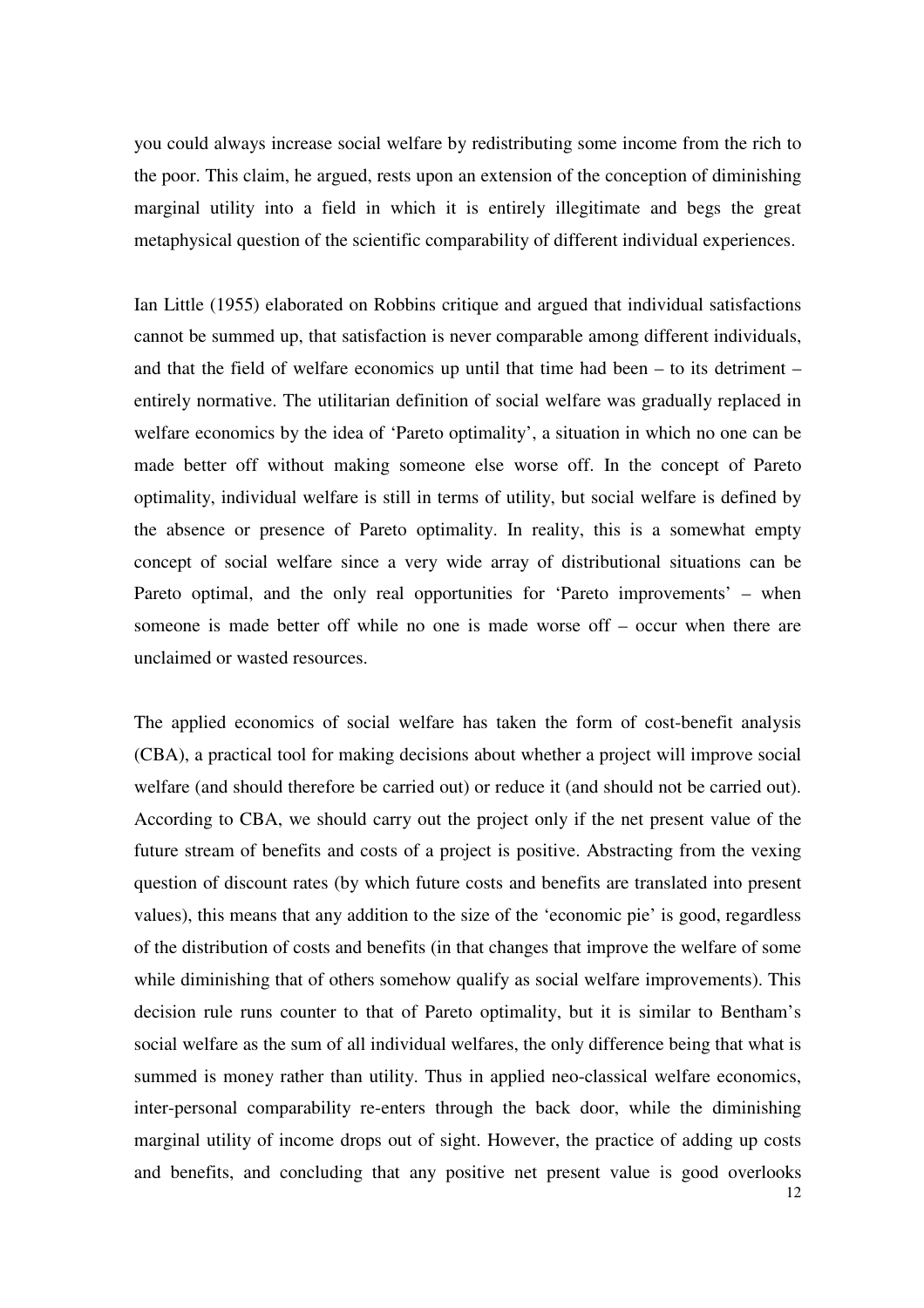you could always increase social welfare by redistributing some income from the rich to the poor. This claim, he argued, rests upon an extension of the conception of diminishing marginal utility into a field in which it is entirely illegitimate and begs the great metaphysical question of the scientific comparability of different individual experiences.

Ian Little (1955) elaborated on Robbins critique and argued that individual satisfactions cannot be summed up, that satisfaction is never comparable among different individuals, and that the field of welfare economics up until that time had been – to its detriment – entirely normative. The utilitarian definition of social welfare was gradually replaced in welfare economics by the idea of 'Pareto optimality', a situation in which no one can be made better off without making someone else worse off. In the concept of Pareto optimality, individual welfare is still in terms of utility, but social welfare is defined by the absence or presence of Pareto optimality. In reality, this is a somewhat empty concept of social welfare since a very wide array of distributional situations can be Pareto optimal, and the only real opportunities for 'Pareto improvements' – when someone is made better off while no one is made worse off – occur when there are unclaimed or wasted resources.

The applied economics of social welfare has taken the form of cost-benefit analysis (CBA), a practical tool for making decisions about whether a project will improve social welfare (and should therefore be carried out) or reduce it (and should not be carried out). According to CBA, we should carry out the project only if the net present value of the future stream of benefits and costs of a project is positive. Abstracting from the vexing question of discount rates (by which future costs and benefits are translated into present values), this means that any addition to the size of the 'economic pie' is good, regardless of the distribution of costs and benefits (in that changes that improve the welfare of some while diminishing that of others somehow qualify as social welfare improvements). This decision rule runs counter to that of Pareto optimality, but it is similar to Bentham's social welfare as the sum of all individual welfares, the only difference being that what is summed is money rather than utility. Thus in applied neo-classical welfare economics, inter-personal comparability re-enters through the back door, while the diminishing marginal utility of income drops out of sight. However, the practice of adding up costs and benefits, and concluding that any positive net present value is good overlooks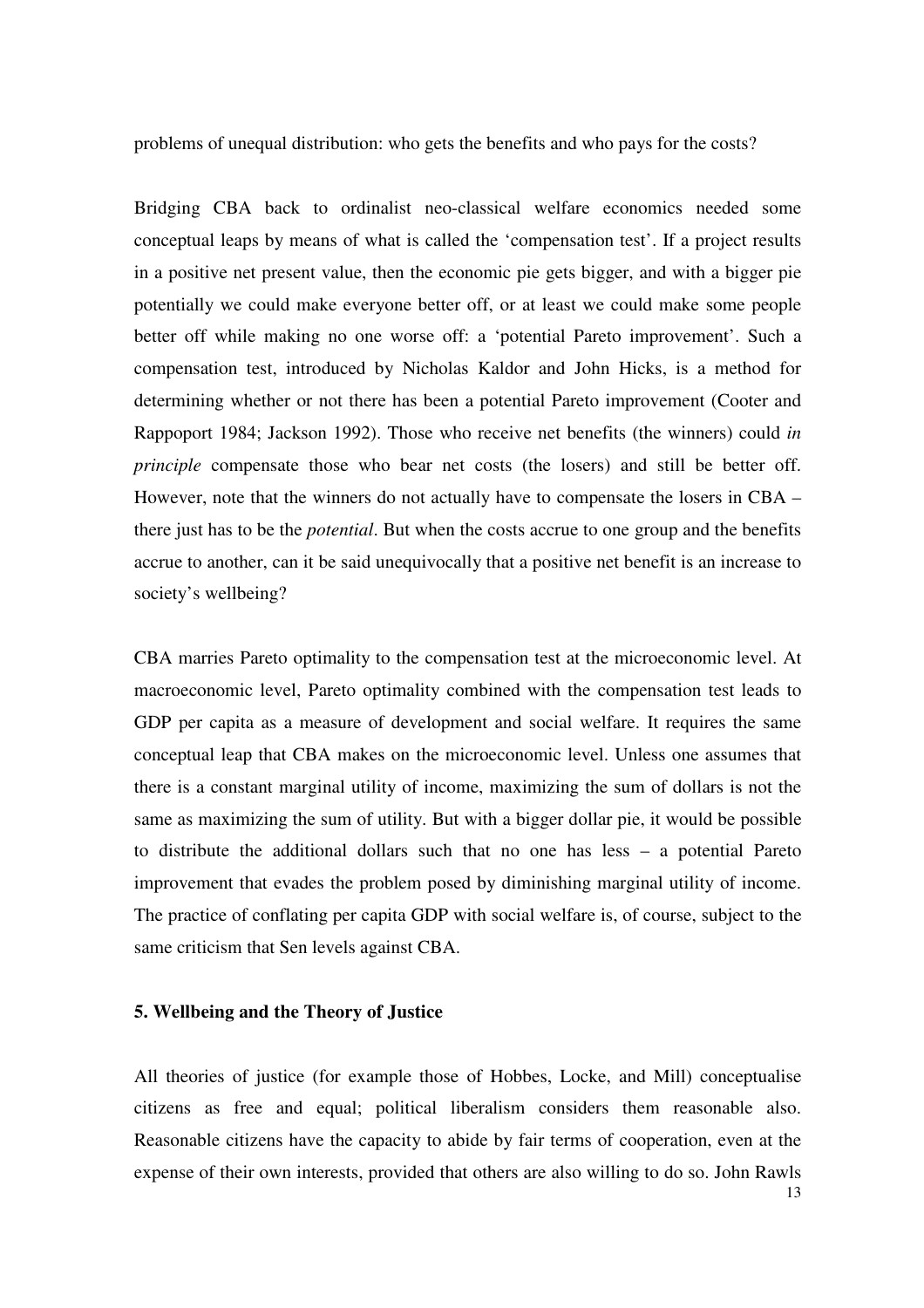problems of unequal distribution: who gets the benefits and who pays for the costs?

Bridging CBA back to ordinalist neo-classical welfare economics needed some conceptual leaps by means of what is called the 'compensation test'. If a project results in a positive net present value, then the economic pie gets bigger, and with a bigger pie potentially we could make everyone better off, or at least we could make some people better off while making no one worse off: a 'potential Pareto improvement'. Such a compensation test, introduced by Nicholas Kaldor and John Hicks, is a method for determining whether or not there has been a potential Pareto improvement (Cooter and Rappoport 1984; Jackson 1992). Those who receive net benefits (the winners) could *in principle* compensate those who bear net costs (the losers) and still be better off. However, note that the winners do not actually have to compensate the losers in CBA – there just has to be the *potential*. But when the costs accrue to one group and the benefits accrue to another, can it be said unequivocally that a positive net benefit is an increase to society's wellbeing?

CBA marries Pareto optimality to the compensation test at the microeconomic level. At macroeconomic level, Pareto optimality combined with the compensation test leads to GDP per capita as a measure of development and social welfare. It requires the same conceptual leap that CBA makes on the microeconomic level. Unless one assumes that there is a constant marginal utility of income, maximizing the sum of dollars is not the same as maximizing the sum of utility. But with a bigger dollar pie, it would be possible to distribute the additional dollars such that no one has less – a potential Pareto improvement that evades the problem posed by diminishing marginal utility of income. The practice of conflating per capita GDP with social welfare is, of course, subject to the same criticism that Sen levels against CBA.

#### **5. Wellbeing and the Theory of Justice**

All theories of justice (for example those of Hobbes, Locke, and Mill) conceptualise citizens as free and equal; political liberalism considers them reasonable also. Reasonable citizens have the capacity to abide by fair terms of cooperation, even at the expense of their own interests, provided that others are also willing to do so. John Rawls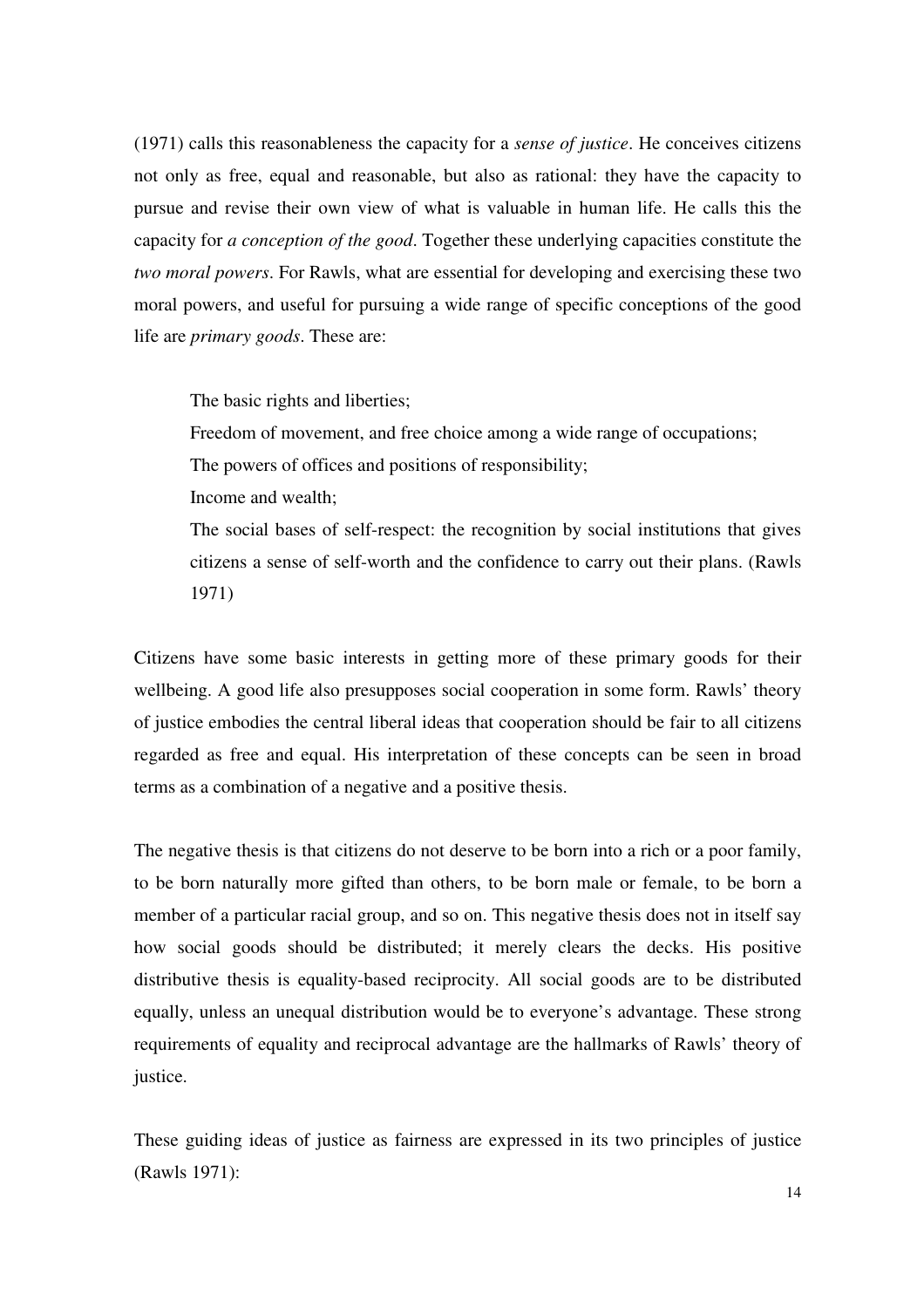(1971) calls this reasonableness the capacity for a *sense of justice*. He conceives citizens not only as free, equal and reasonable, but also as rational: they have the capacity to pursue and revise their own view of what is valuable in human life. He calls this the capacity for *a conception of the good*. Together these underlying capacities constitute the *two moral powers*. For Rawls, what are essential for developing and exercising these two moral powers, and useful for pursuing a wide range of specific conceptions of the good life are *primary goods*. These are:

The basic rights and liberties;

Freedom of movement, and free choice among a wide range of occupations; The powers of offices and positions of responsibility; Income and wealth; The social bases of self-respect: the recognition by social institutions that gives

citizens a sense of self-worth and the confidence to carry out their plans. (Rawls 1971)

Citizens have some basic interests in getting more of these primary goods for their wellbeing. A good life also presupposes social cooperation in some form. Rawls' theory of justice embodies the central liberal ideas that cooperation should be fair to all citizens regarded as free and equal. His interpretation of these concepts can be seen in broad terms as a combination of a negative and a positive thesis.

The negative thesis is that citizens do not deserve to be born into a rich or a poor family, to be born naturally more gifted than others, to be born male or female, to be born a member of a particular racial group, and so on. This negative thesis does not in itself say how social goods should be distributed; it merely clears the decks. His positive distributive thesis is equality-based reciprocity. All social goods are to be distributed equally, unless an unequal distribution would be to everyone's advantage. These strong requirements of equality and reciprocal advantage are the hallmarks of Rawls' theory of justice.

These guiding ideas of justice as fairness are expressed in its two principles of justice (Rawls 1971):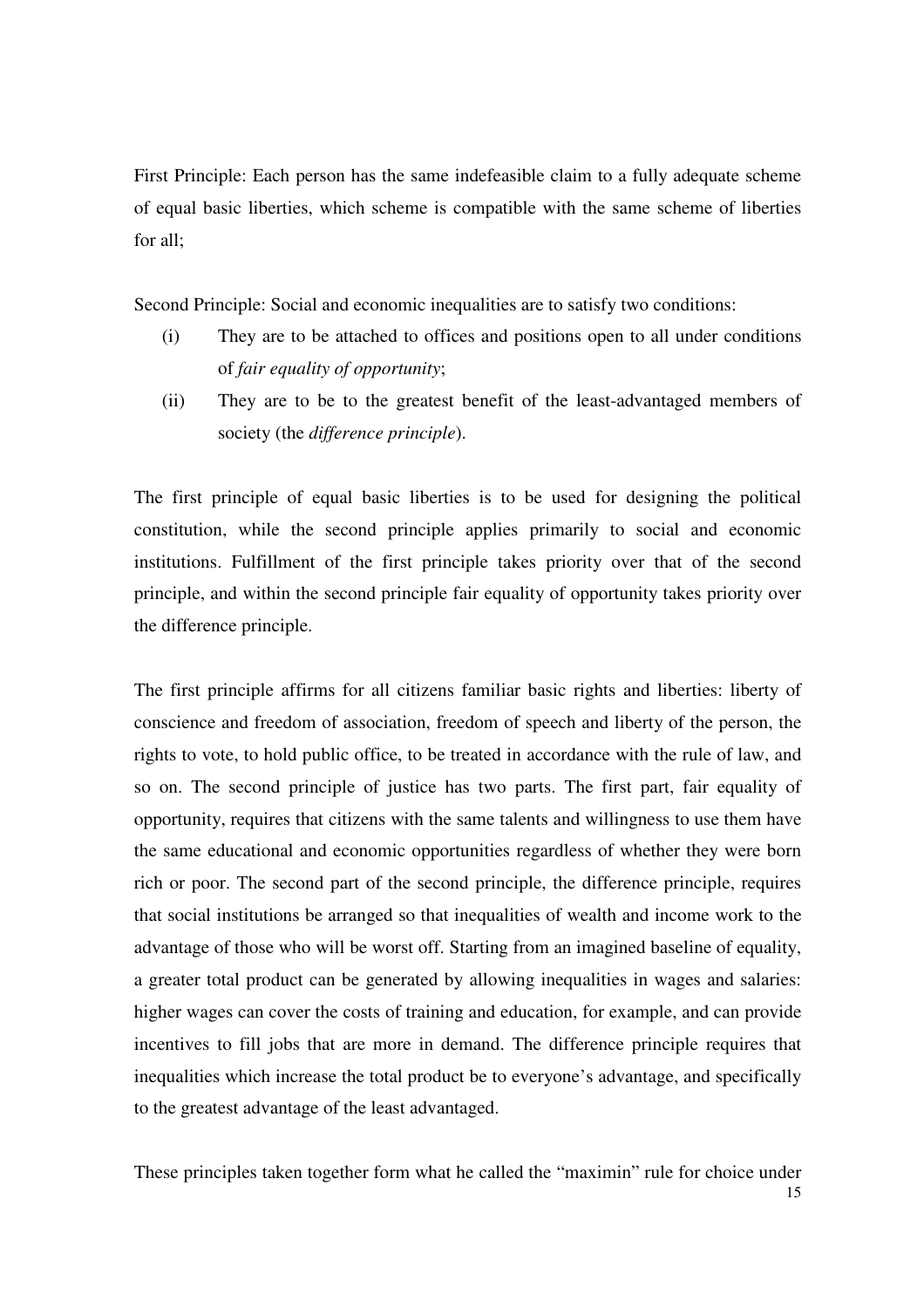First Principle: Each person has the same indefeasible claim to a fully adequate scheme of equal basic liberties, which scheme is compatible with the same scheme of liberties for all;

Second Principle: Social and economic inequalities are to satisfy two conditions:

- (i) They are to be attached to offices and positions open to all under conditions of *fair equality of opportunity*;
- (ii) They are to be to the greatest benefit of the least-advantaged members of society (the *difference principle*).

The first principle of equal basic liberties is to be used for designing the political constitution, while the second principle applies primarily to social and economic institutions. Fulfillment of the first principle takes priority over that of the second principle, and within the second principle fair equality of opportunity takes priority over the difference principle.

The first principle affirms for all citizens familiar basic rights and liberties: liberty of conscience and freedom of association, freedom of speech and liberty of the person, the rights to vote, to hold public office, to be treated in accordance with the rule of law, and so on. The second principle of justice has two parts. The first part, fair equality of opportunity, requires that citizens with the same talents and willingness to use them have the same educational and economic opportunities regardless of whether they were born rich or poor. The second part of the second principle, the difference principle, requires that social institutions be arranged so that inequalities of wealth and income work to the advantage of those who will be worst off. Starting from an imagined baseline of equality, a greater total product can be generated by allowing inequalities in wages and salaries: higher wages can cover the costs of training and education, for example, and can provide incentives to fill jobs that are more in demand. The difference principle requires that inequalities which increase the total product be to everyone's advantage, and specifically to the greatest advantage of the least advantaged.

15 These principles taken together form what he called the "maximin" rule for choice under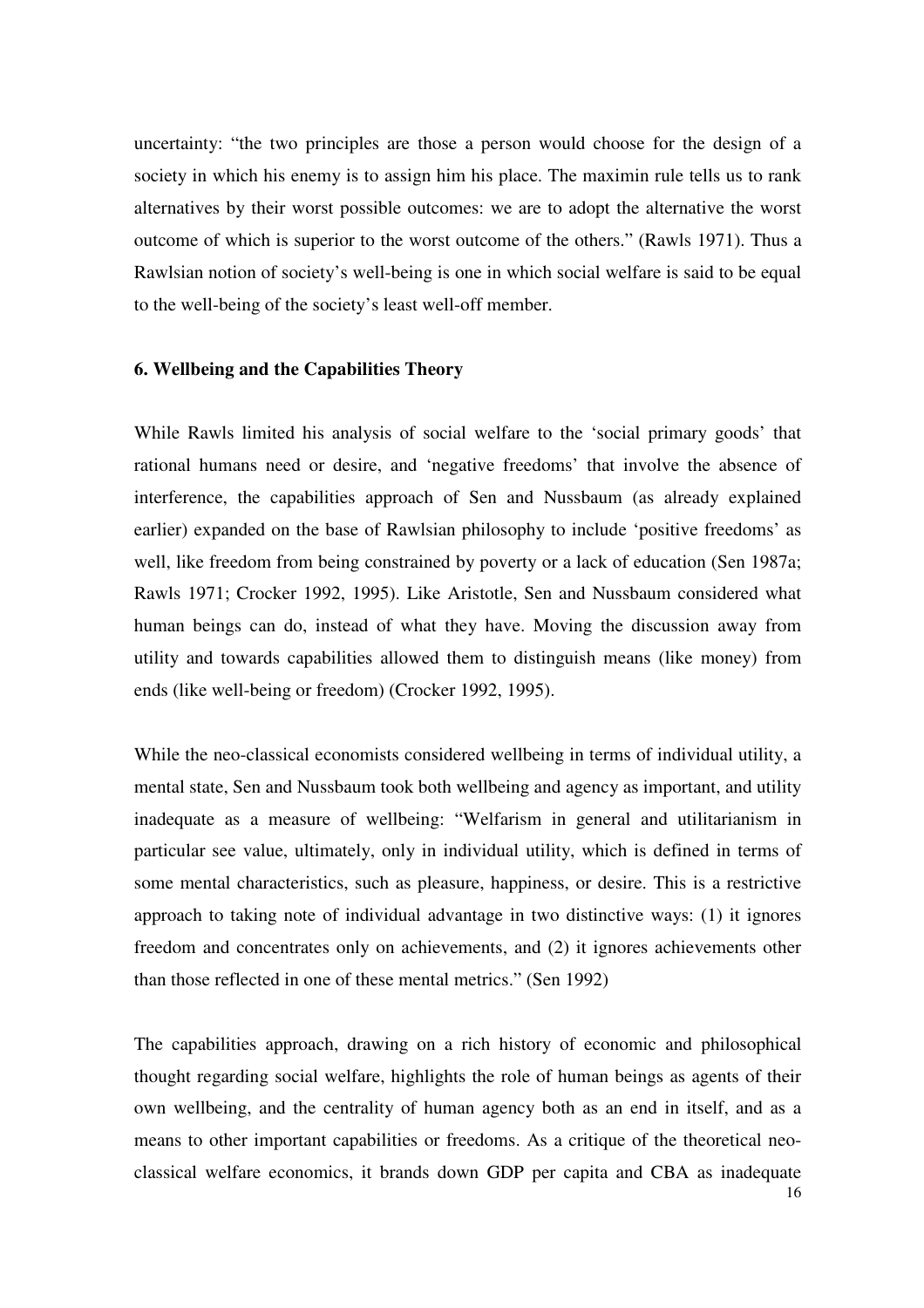uncertainty: "the two principles are those a person would choose for the design of a society in which his enemy is to assign him his place. The maximin rule tells us to rank alternatives by their worst possible outcomes: we are to adopt the alternative the worst outcome of which is superior to the worst outcome of the others." (Rawls 1971). Thus a Rawlsian notion of society's well-being is one in which social welfare is said to be equal to the well-being of the society's least well-off member.

#### **6. Wellbeing and the Capabilities Theory**

While Rawls limited his analysis of social welfare to the 'social primary goods' that rational humans need or desire, and 'negative freedoms' that involve the absence of interference, the capabilities approach of Sen and Nussbaum (as already explained earlier) expanded on the base of Rawlsian philosophy to include 'positive freedoms' as well, like freedom from being constrained by poverty or a lack of education (Sen 1987a; Rawls 1971; Crocker 1992, 1995). Like Aristotle, Sen and Nussbaum considered what human beings can do, instead of what they have. Moving the discussion away from utility and towards capabilities allowed them to distinguish means (like money) from ends (like well-being or freedom) (Crocker 1992, 1995).

While the neo-classical economists considered wellbeing in terms of individual utility, a mental state, Sen and Nussbaum took both wellbeing and agency as important, and utility inadequate as a measure of wellbeing: "Welfarism in general and utilitarianism in particular see value, ultimately, only in individual utility, which is defined in terms of some mental characteristics, such as pleasure, happiness, or desire. This is a restrictive approach to taking note of individual advantage in two distinctive ways: (1) it ignores freedom and concentrates only on achievements, and (2) it ignores achievements other than those reflected in one of these mental metrics." (Sen 1992)

16 The capabilities approach, drawing on a rich history of economic and philosophical thought regarding social welfare, highlights the role of human beings as agents of their own wellbeing, and the centrality of human agency both as an end in itself, and as a means to other important capabilities or freedoms. As a critique of the theoretical neoclassical welfare economics, it brands down GDP per capita and CBA as inadequate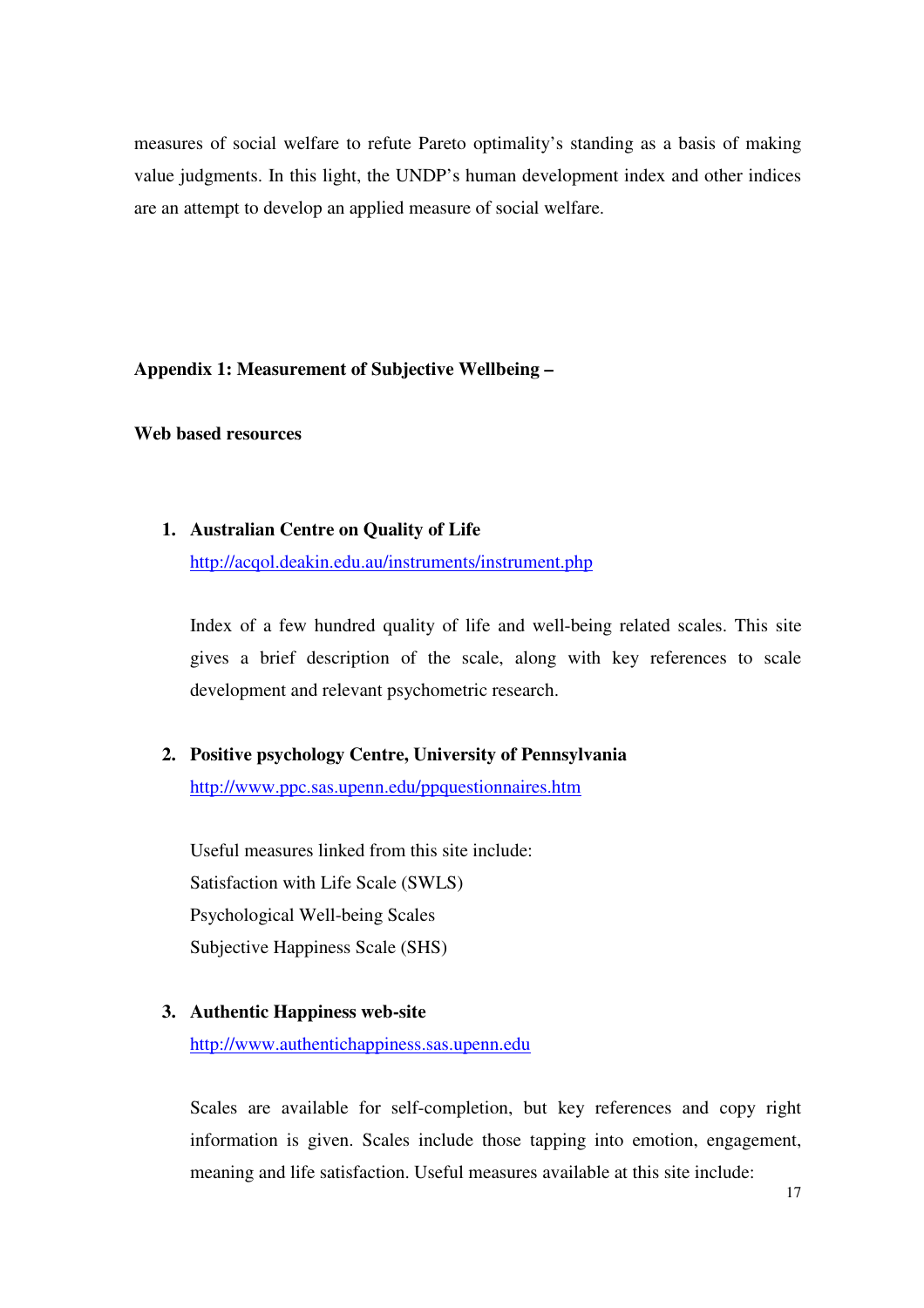measures of social welfare to refute Pareto optimality's standing as a basis of making value judgments. In this light, the UNDP's human development index and other indices are an attempt to develop an applied measure of social welfare.

**Appendix 1: Measurement of Subjective Wellbeing –** 

**Web based resources** 

**1. Australian Centre on Quality of Life** 

http://acqol.deakin.edu.au/instruments/instrument.php

Index of a few hundred quality of life and well-being related scales. This site gives a brief description of the scale, along with key references to scale development and relevant psychometric research.

#### **2. Positive psychology Centre, University of Pennsylvania**

http://www.ppc.sas.upenn.edu/ppquestionnaires.htm

Useful measures linked from this site include: Satisfaction with Life Scale (SWLS) Psychological Well-being Scales Subjective Happiness Scale (SHS)

#### **3. Authentic Happiness web-site**

http://www.authentichappiness.sas.upenn.edu

Scales are available for self-completion, but key references and copy right information is given. Scales include those tapping into emotion, engagement, meaning and life satisfaction. Useful measures available at this site include: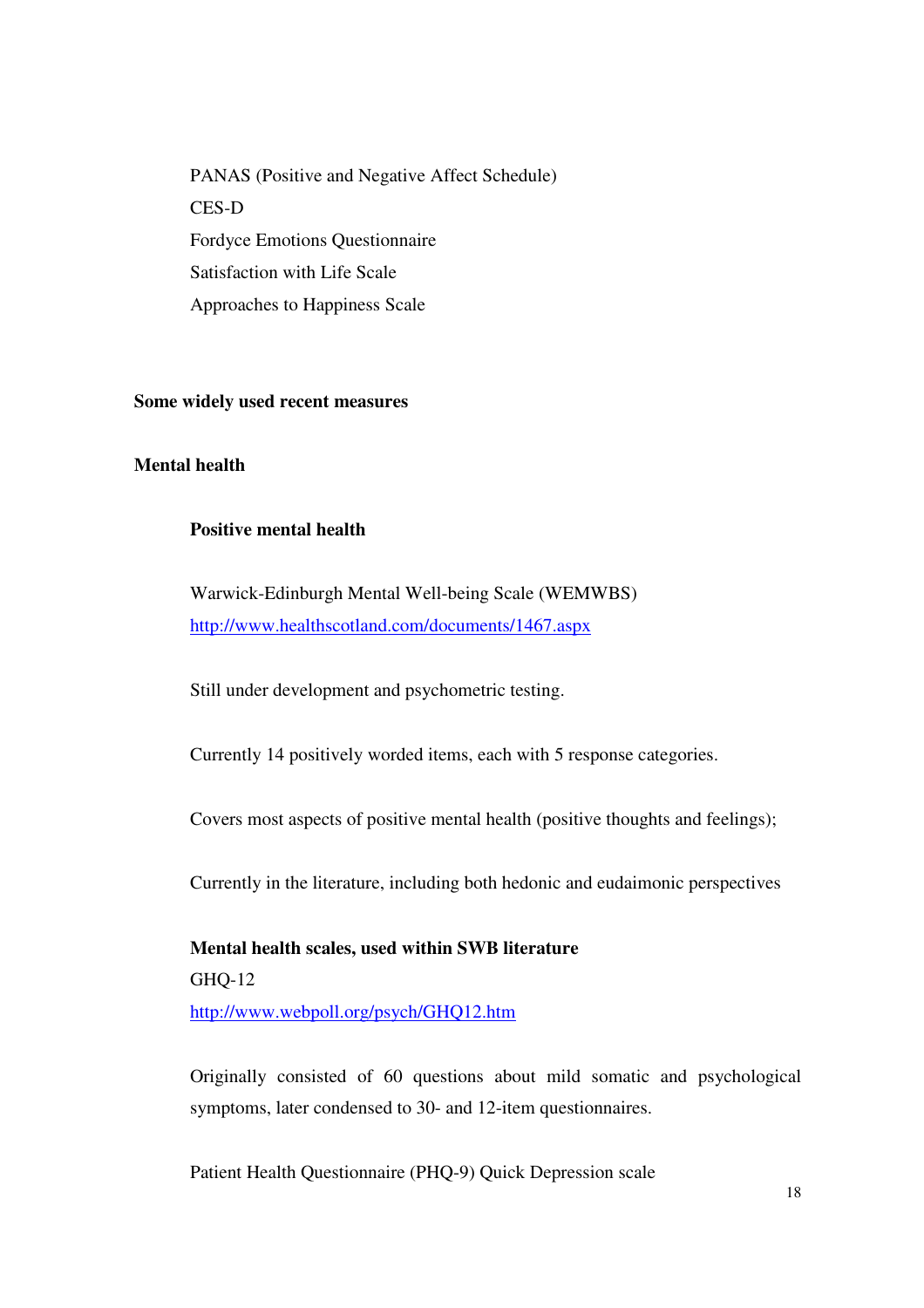PANAS (Positive and Negative Affect Schedule) CES-D Fordyce Emotions Questionnaire Satisfaction with Life Scale Approaches to Happiness Scale

#### **Some widely used recent measures**

#### **Mental health**

#### **Positive mental health**

Warwick-Edinburgh Mental Well-being Scale (WEMWBS) http://www.healthscotland.com/documents/1467.aspx

Still under development and psychometric testing.

Currently 14 positively worded items, each with 5 response categories.

Covers most aspects of positive mental health (positive thoughts and feelings);

Currently in the literature, including both hedonic and eudaimonic perspectives

**Mental health scales, used within SWB literature**  GHQ-12 http://www.webpoll.org/psych/GHQ12.htm

Originally consisted of 60 questions about mild somatic and psychological symptoms, later condensed to 30- and 12-item questionnaires.

Patient Health Questionnaire (PHQ-9) Quick Depression scale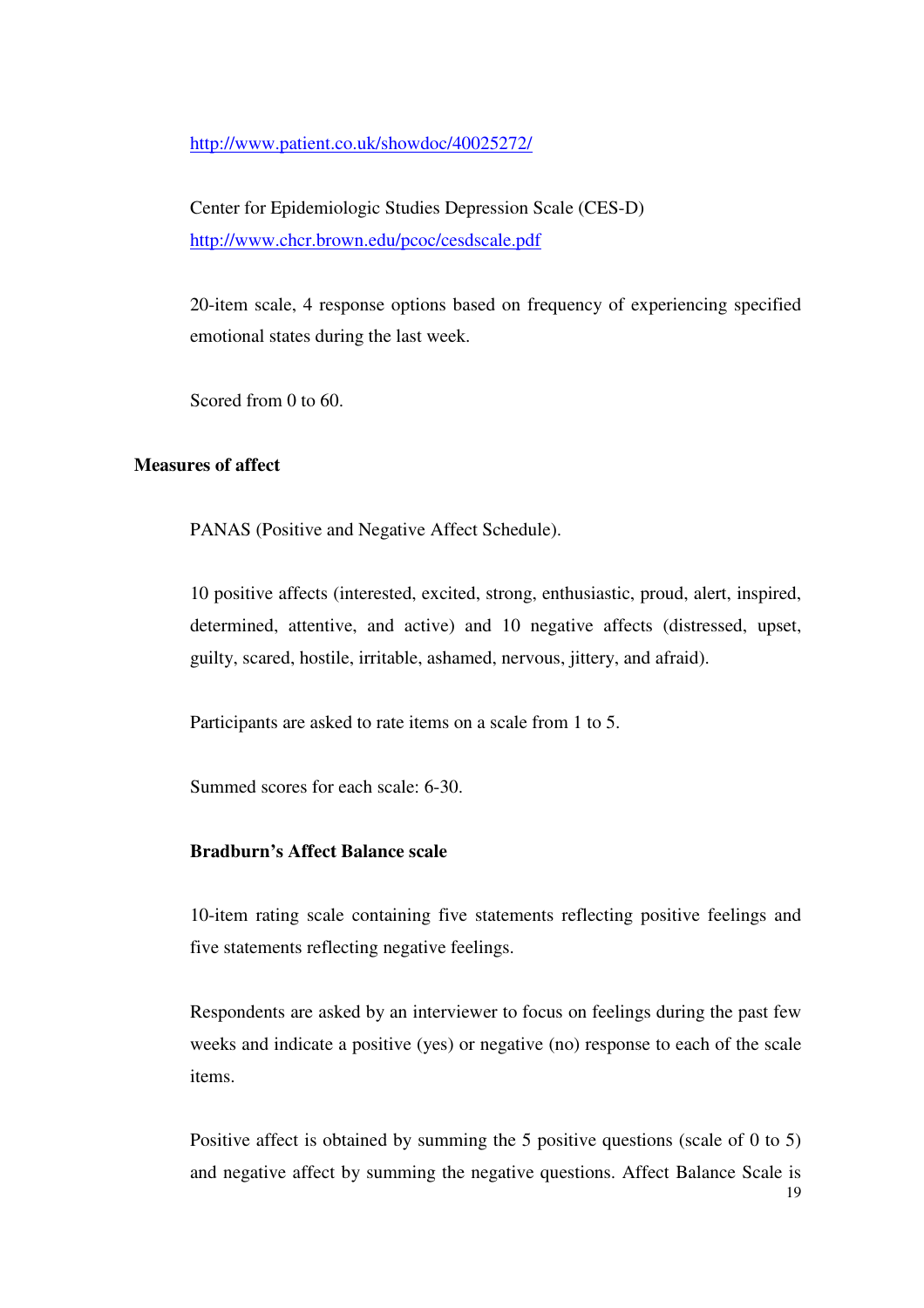http://www.patient.co.uk/showdoc/40025272/

Center for Epidemiologic Studies Depression Scale (CES-D) http://www.chcr.brown.edu/pcoc/cesdscale.pdf

20-item scale, 4 response options based on frequency of experiencing specified emotional states during the last week.

Scored from 0 to 60.

#### **Measures of affect**

PANAS (Positive and Negative Affect Schedule).

10 positive affects (interested, excited, strong, enthusiastic, proud, alert, inspired, determined, attentive, and active) and 10 negative affects (distressed, upset, guilty, scared, hostile, irritable, ashamed, nervous, jittery, and afraid).

Participants are asked to rate items on a scale from 1 to 5.

Summed scores for each scale: 6-30.

#### **Bradburn's Affect Balance scale**

10-item rating scale containing five statements reflecting positive feelings and five statements reflecting negative feelings.

Respondents are asked by an interviewer to focus on feelings during the past few weeks and indicate a positive (yes) or negative (no) response to each of the scale items.

Positive affect is obtained by summing the 5 positive questions (scale of 0 to 5) and negative affect by summing the negative questions. Affect Balance Scale is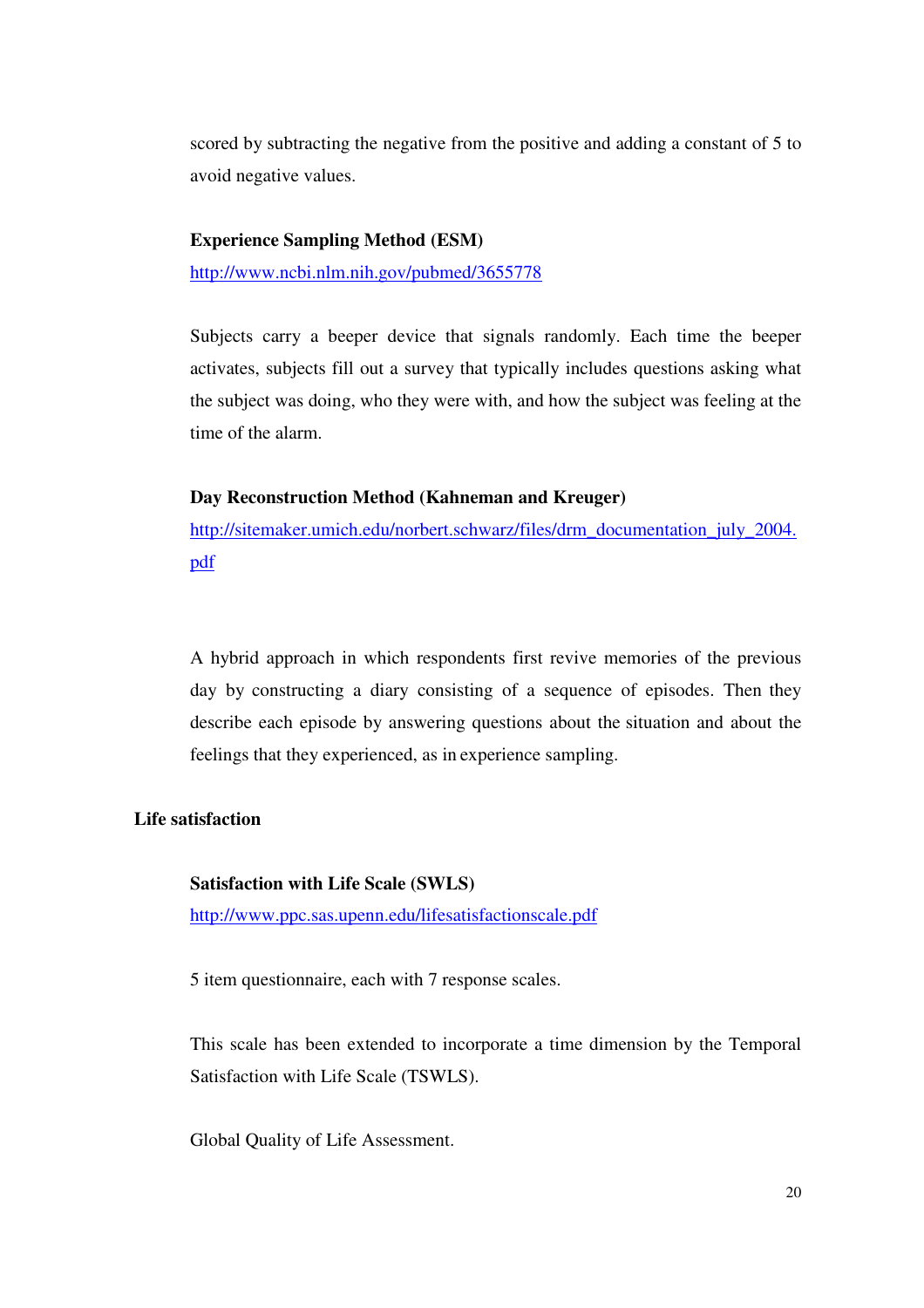scored by subtracting the negative from the positive and adding a constant of 5 to avoid negative values.

#### **Experience Sampling Method (ESM)**

http://www.ncbi.nlm.nih.gov/pubmed/3655778

Subjects carry a beeper device that signals randomly. Each time the beeper activates, subjects fill out a survey that typically includes questions asking what the subject was doing, who they were with, and how the subject was feeling at the time of the alarm.

#### **Day Reconstruction Method (Kahneman and Kreuger)**

http://sitemaker.umich.edu/norbert.schwarz/files/drm\_documentation\_july\_2004. pdf

A hybrid approach in which respondents first revive memories of the previous day by constructing a diary consisting of a sequence of episodes. Then they describe each episode by answering questions about the situation and about the feelings that they experienced, as in experience sampling.

#### **Life satisfaction**

#### **Satisfaction with Life Scale (SWLS)**

http://www.ppc.sas.upenn.edu/lifesatisfactionscale.pdf

5 item questionnaire, each with 7 response scales.

This scale has been extended to incorporate a time dimension by the Temporal Satisfaction with Life Scale (TSWLS).

Global Quality of Life Assessment.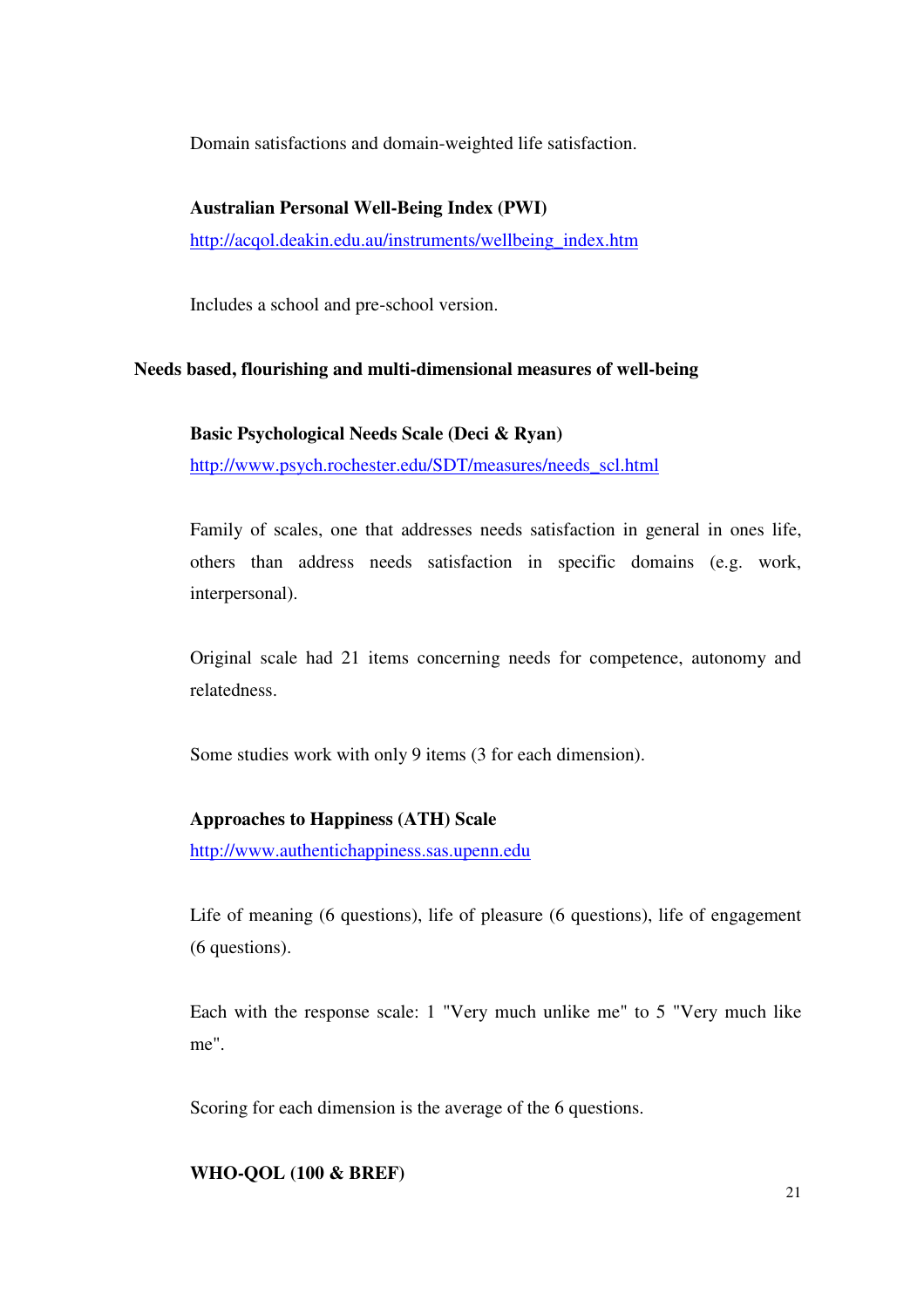Domain satisfactions and domain-weighted life satisfaction.

#### **Australian Personal Well-Being Index (PWI)**

http://acqol.deakin.edu.au/instruments/wellbeing\_index.htm

Includes a school and pre-school version.

#### **Needs based, flourishing and multi-dimensional measures of well-being**

#### **Basic Psychological Needs Scale (Deci & Ryan)**

http://www.psych.rochester.edu/SDT/measures/needs\_scl.html

Family of scales, one that addresses needs satisfaction in general in ones life, others than address needs satisfaction in specific domains (e.g. work, interpersonal).

Original scale had 21 items concerning needs for competence, autonomy and relatedness.

Some studies work with only 9 items (3 for each dimension).

#### **Approaches to Happiness (ATH) Scale**

http://www.authentichappiness.sas.upenn.edu

Life of meaning (6 questions), life of pleasure (6 questions), life of engagement (6 questions).

Each with the response scale: 1 "Very much unlike me" to 5 "Very much like me".

Scoring for each dimension is the average of the 6 questions.

#### **WHO-QOL (100 & BREF)**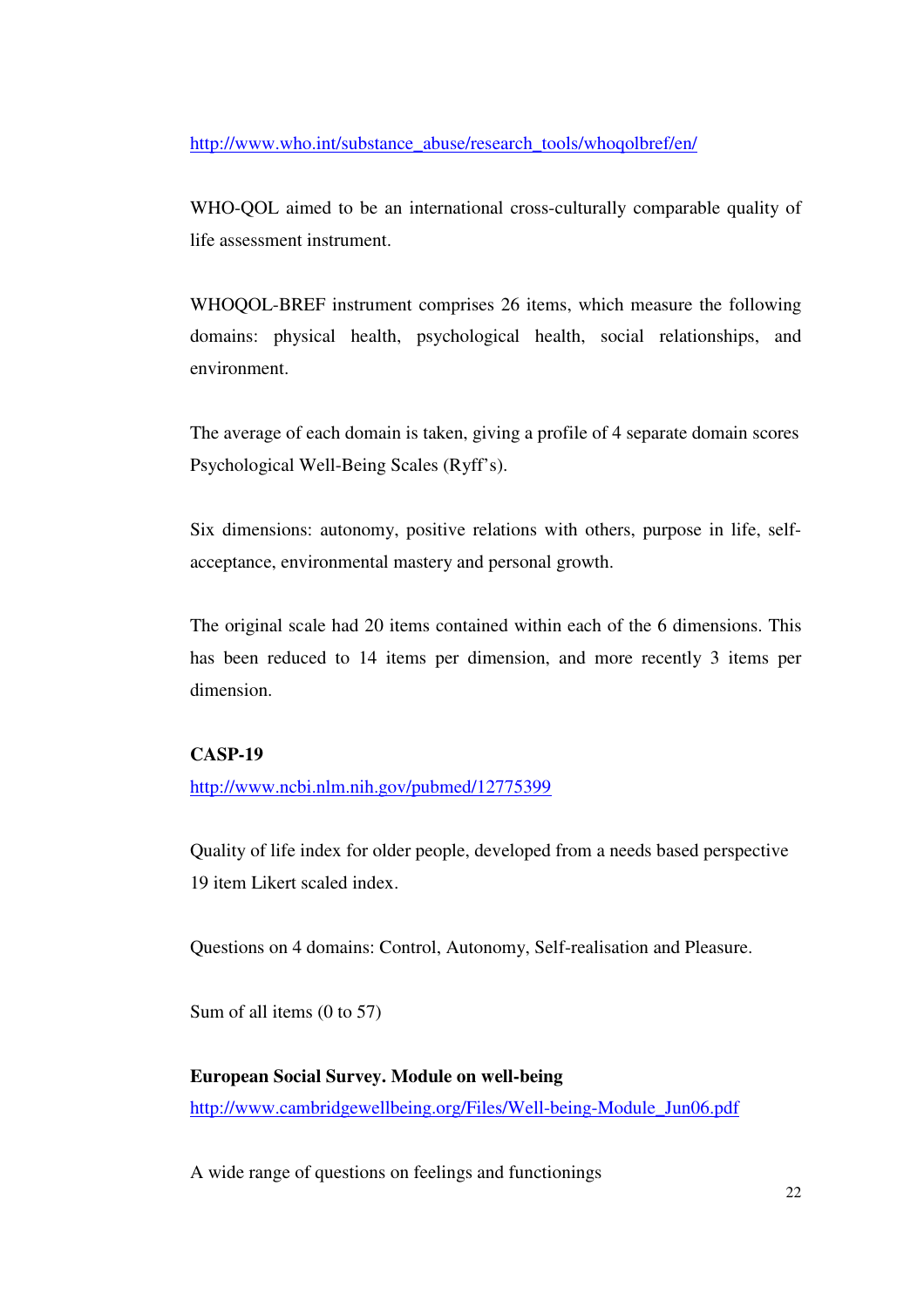http://www.who.int/substance\_abuse/research\_tools/whoqolbref/en/

WHO-QOL aimed to be an international cross-culturally comparable quality of life assessment instrument.

WHOQOL-BREF instrument comprises 26 items, which measure the following domains: physical health, psychological health, social relationships, and environment.

The average of each domain is taken, giving a profile of 4 separate domain scores Psychological Well-Being Scales (Ryff's).

Six dimensions: autonomy, positive relations with others, purpose in life, selfacceptance, environmental mastery and personal growth.

The original scale had 20 items contained within each of the 6 dimensions. This has been reduced to 14 items per dimension, and more recently 3 items per dimension.

#### **CASP-19**

http://www.ncbi.nlm.nih.gov/pubmed/12775399

Quality of life index for older people, developed from a needs based perspective 19 item Likert scaled index.

Questions on 4 domains: Control, Autonomy, Self-realisation and Pleasure.

Sum of all items (0 to 57)

## **European Social Survey. Module on well-being**  http://www.cambridgewellbeing.org/Files/Well-being-Module\_Jun06.pdf

A wide range of questions on feelings and functionings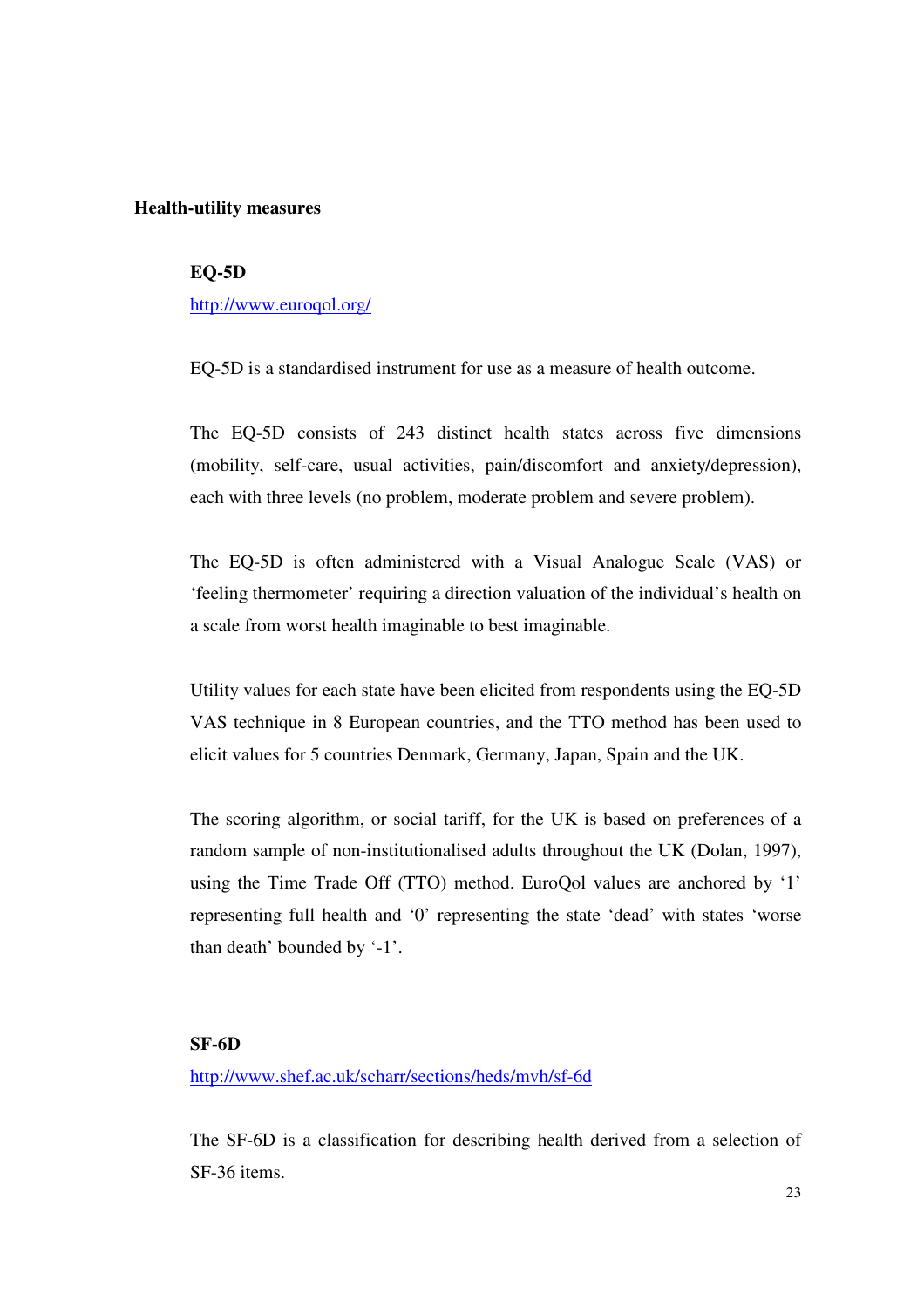#### **Health-utility measures**

#### **EQ-5D**

http://www.euroqol.org/

EQ-5D is a standardised instrument for use as a measure of health outcome.

The EQ-5D consists of 243 distinct health states across five dimensions (mobility, self-care, usual activities, pain/discomfort and anxiety/depression), each with three levels (no problem, moderate problem and severe problem).

The EQ-5D is often administered with a Visual Analogue Scale (VAS) or 'feeling thermometer' requiring a direction valuation of the individual's health on a scale from worst health imaginable to best imaginable.

Utility values for each state have been elicited from respondents using the EQ-5D VAS technique in 8 European countries, and the TTO method has been used to elicit values for 5 countries Denmark, Germany, Japan, Spain and the UK.

The scoring algorithm, or social tariff, for the UK is based on preferences of a random sample of non-institutionalised adults throughout the UK (Dolan, 1997), using the Time Trade Off (TTO) method. EuroQol values are anchored by '1' representing full health and '0' representing the state 'dead' with states 'worse than death' bounded by '-1'.

#### **SF-6D**

http://www.shef.ac.uk/scharr/sections/heds/mvh/sf-6d

The SF-6D is a classification for describing health derived from a selection of SF-36 items.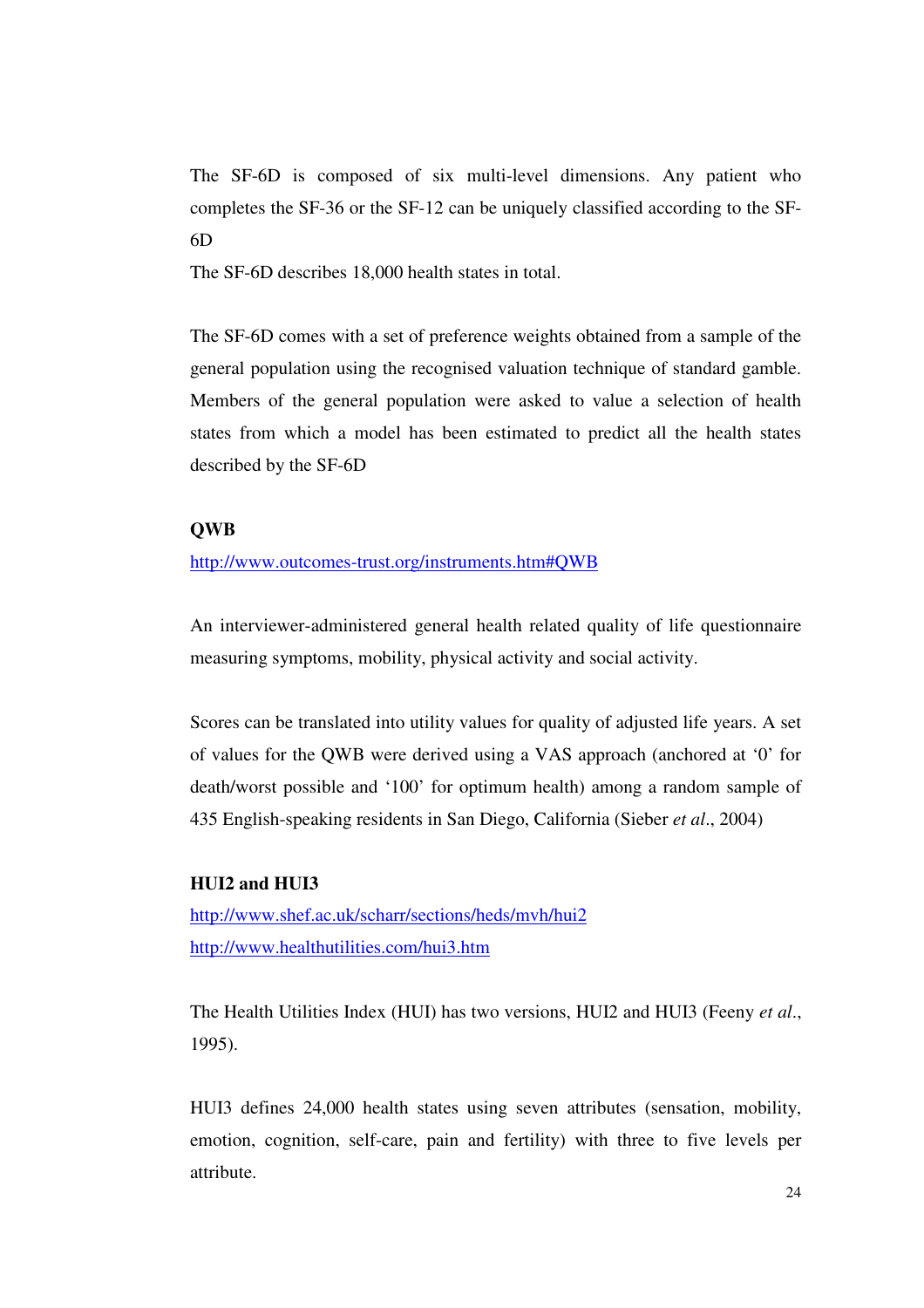The SF-6D is composed of six multi-level dimensions. Any patient who completes the SF-36 or the SF-12 can be uniquely classified according to the SF-6D

The SF-6D describes 18,000 health states in total.

The SF-6D comes with a set of preference weights obtained from a sample of the general population using the recognised valuation technique of standard gamble. Members of the general population were asked to value a selection of health states from which a model has been estimated to predict all the health states described by the SF-6D

#### **QWB**

#### http://www.outcomes-trust.org/instruments.htm#QWB

An interviewer-administered general health related quality of life questionnaire measuring symptoms, mobility, physical activity and social activity.

Scores can be translated into utility values for quality of adjusted life years. A set of values for the QWB were derived using a VAS approach (anchored at '0' for death/worst possible and '100' for optimum health) among a random sample of 435 English-speaking residents in San Diego, California (Sieber *et al*., 2004)

#### **HUI2 and HUI3**

http://www.shef.ac.uk/scharr/sections/heds/mvh/hui2 http://www.healthutilities.com/hui3.htm

The Health Utilities Index (HUI) has two versions, HUI2 and HUI3 (Feeny *et al*., 1995).

HUI3 defines 24,000 health states using seven attributes (sensation, mobility, emotion, cognition, self-care, pain and fertility) with three to five levels per attribute.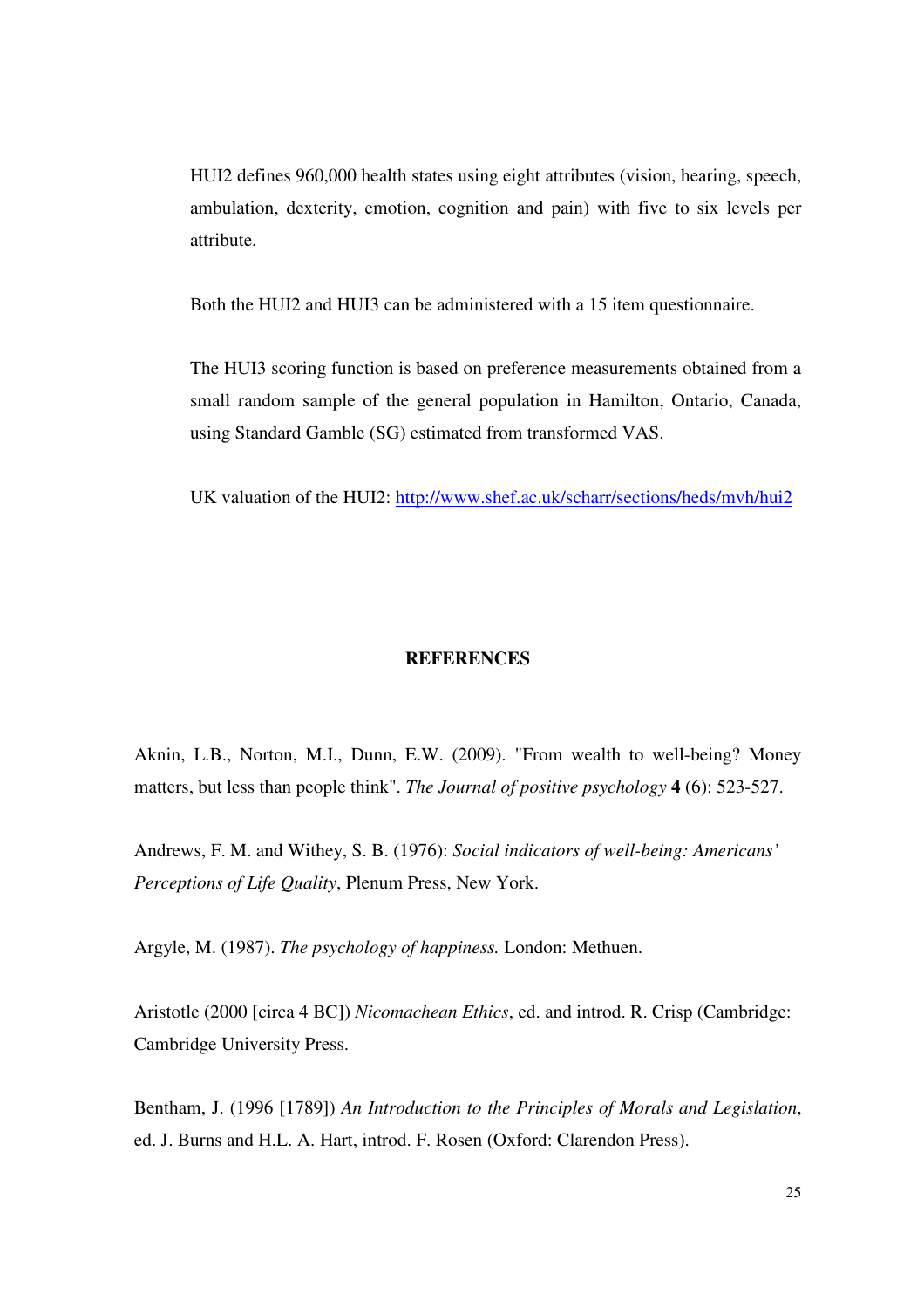HUI2 defines 960,000 health states using eight attributes (vision, hearing, speech, ambulation, dexterity, emotion, cognition and pain) with five to six levels per attribute.

Both the HUI2 and HUI3 can be administered with a 15 item questionnaire.

The HUI3 scoring function is based on preference measurements obtained from a small random sample of the general population in Hamilton, Ontario, Canada, using Standard Gamble (SG) estimated from transformed VAS.

UK valuation of the HUI2: http://www.shef.ac.uk/scharr/sections/heds/mvh/hui2

#### **REFERENCES**

Aknin, L.B., Norton, M.I., Dunn, E.W. (2009). "From wealth to well-being? Money matters, but less than people think". *The Journal of positive psychology* **4** (6): 523-527.

Andrews, F. M. and Withey, S. B. (1976): *Social indicators of well-being: Americans' Perceptions of Life Quality*, Plenum Press, New York.

Argyle, M. (1987). *The psychology of happiness.* London: Methuen.

Aristotle (2000 [circa 4 BC]) *Nicomachean Ethics*, ed. and introd. R. Crisp (Cambridge: Cambridge University Press.

Bentham, J. (1996 [1789]) *An Introduction to the Principles of Morals and Legislation*, ed. J. Burns and H.L. A. Hart, introd. F. Rosen (Oxford: Clarendon Press).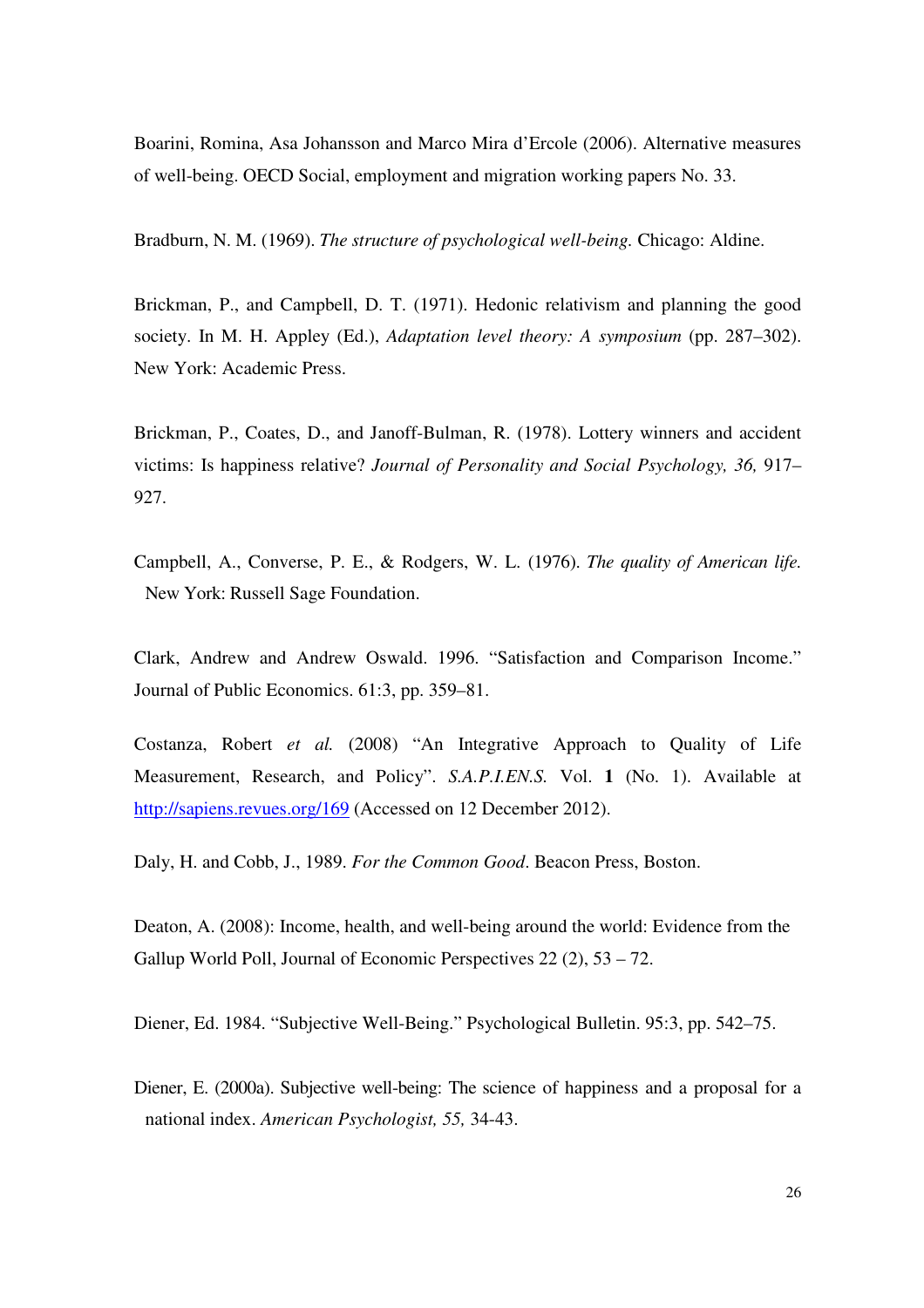Boarini, Romina, Asa Johansson and Marco Mira d'Ercole (2006). Alternative measures of well-being. OECD Social, employment and migration working papers No. 33.

Bradburn, N. M. (1969). *The structure of psychological well-being.* Chicago: Aldine.

Brickman, P., and Campbell, D. T. (1971). Hedonic relativism and planning the good society. In M. H. Appley (Ed.), *Adaptation level theory: A symposium* (pp. 287–302). New York: Academic Press.

Brickman, P., Coates, D., and Janoff-Bulman, R. (1978). Lottery winners and accident victims: Is happiness relative? *Journal of Personality and Social Psychology, 36,* 917– 927.

Campbell, A., Converse, P. E., & Rodgers, W. L. (1976). *The quality of American life.*  New York: Russell Sage Foundation.

Clark, Andrew and Andrew Oswald. 1996. "Satisfaction and Comparison Income." Journal of Public Economics. 61:3, pp. 359–81.

Costanza, Robert *et al.* (2008) "An Integrative Approach to Quality of Life Measurement, Research, and Policy". *S.A.P.I.EN.S.* Vol. **1** (No. 1). Available at http://sapiens.revues.org/169 (Accessed on 12 December 2012).

Daly, H. and Cobb, J., 1989. *For the Common Good*. Beacon Press, Boston.

Deaton, A. (2008): Income, health, and well-being around the world: Evidence from the Gallup World Poll, Journal of Economic Perspectives 22 (2), 53 – 72.

Diener, Ed. 1984. "Subjective Well-Being." Psychological Bulletin. 95:3, pp. 542–75.

Diener, E. (2000a). Subjective well-being: The science of happiness and a proposal for a national index. *American Psychologist, 55,* 34-43.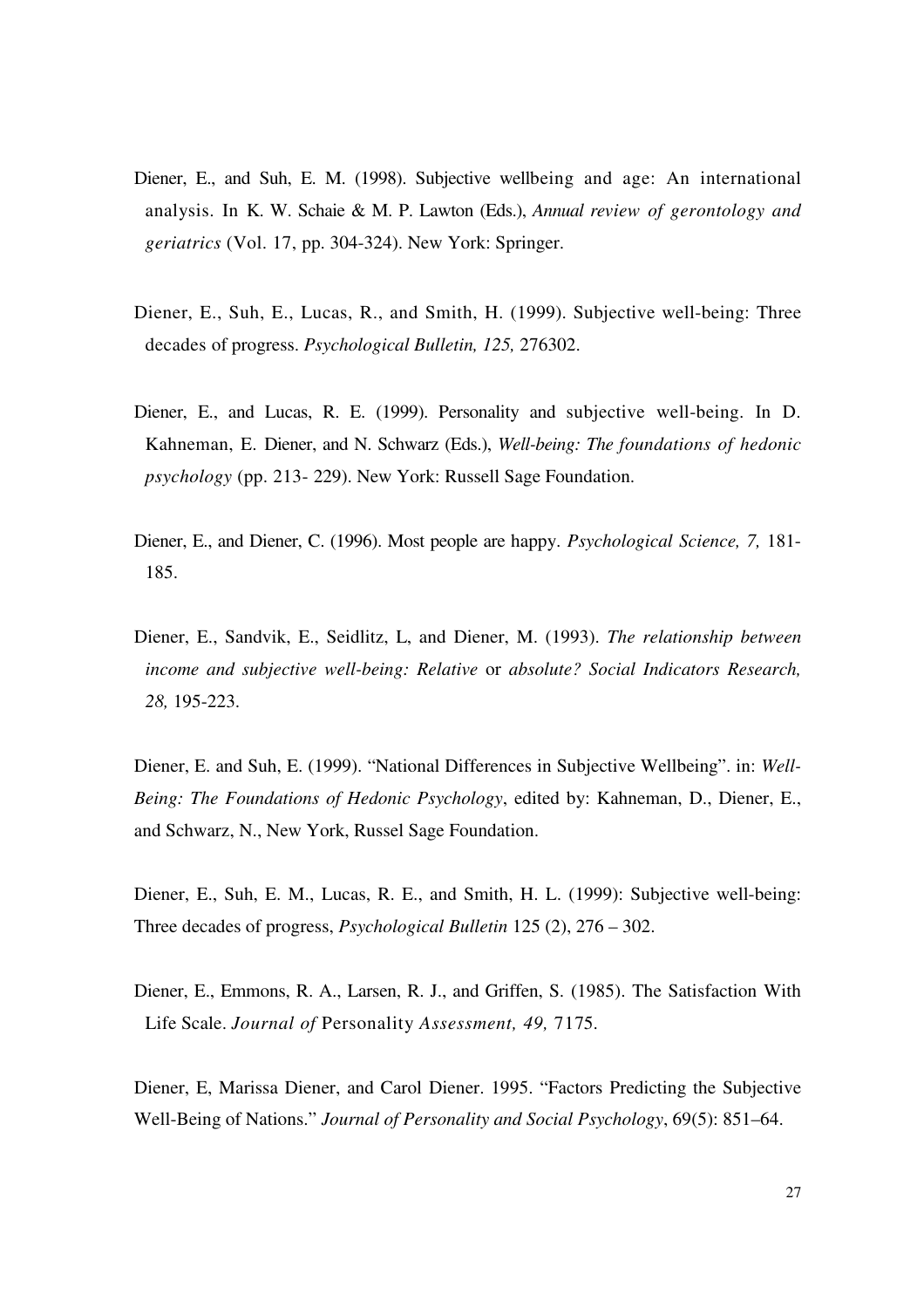- Diener, E., and Suh, E. M. (1998). Subjective wellbeing and age: An international analysis. In K. W. Schaie & M. P. Lawton (Eds.), *Annual review of gerontology and geriatrics* (Vol. 17, pp. 304-324). New York: Springer.
- Diener, E., Suh, E., Lucas, R., and Smith, H. (1999). Subjective well-being: Three decades of progress. *Psychological Bulletin, 125,* 276302.
- Diener, E., and Lucas, R. E. (1999). Personality and subjective well-being. In D. Kahneman, E. Diener, and N. Schwarz (Eds.), *Well-being: The foundations of hedonic psychology* (pp. 213- 229). New York: Russell Sage Foundation.
- Diener, E., and Diener, C. (1996). Most people are happy. *Psychological Science, 7,* 181- 185.
- Diener, E., Sandvik, E., Seidlitz, L, and Diener, M. (1993). *The relationship between income and subjective well-being: Relative* or *absolute? Social Indicators Research, 28,* 195-223.

Diener, E. and Suh, E. (1999). "National Differences in Subjective Wellbeing". in: *Well-Being: The Foundations of Hedonic Psychology*, edited by: Kahneman, D., Diener, E., and Schwarz, N., New York, Russel Sage Foundation.

- Diener, E., Suh, E. M., Lucas, R. E., and Smith, H. L. (1999): Subjective well-being: Three decades of progress, *Psychological Bulletin* 125 (2), 276 – 302.
- Diener, E., Emmons, R. A., Larsen, R. J., and Griffen, S. (1985). The Satisfaction With Life Scale. *Journal of* Personality *Assessment, 49,* 7175.

Diener, E, Marissa Diener, and Carol Diener. 1995. "Factors Predicting the Subjective Well-Being of Nations." *Journal of Personality and Social Psychology*, 69(5): 851–64.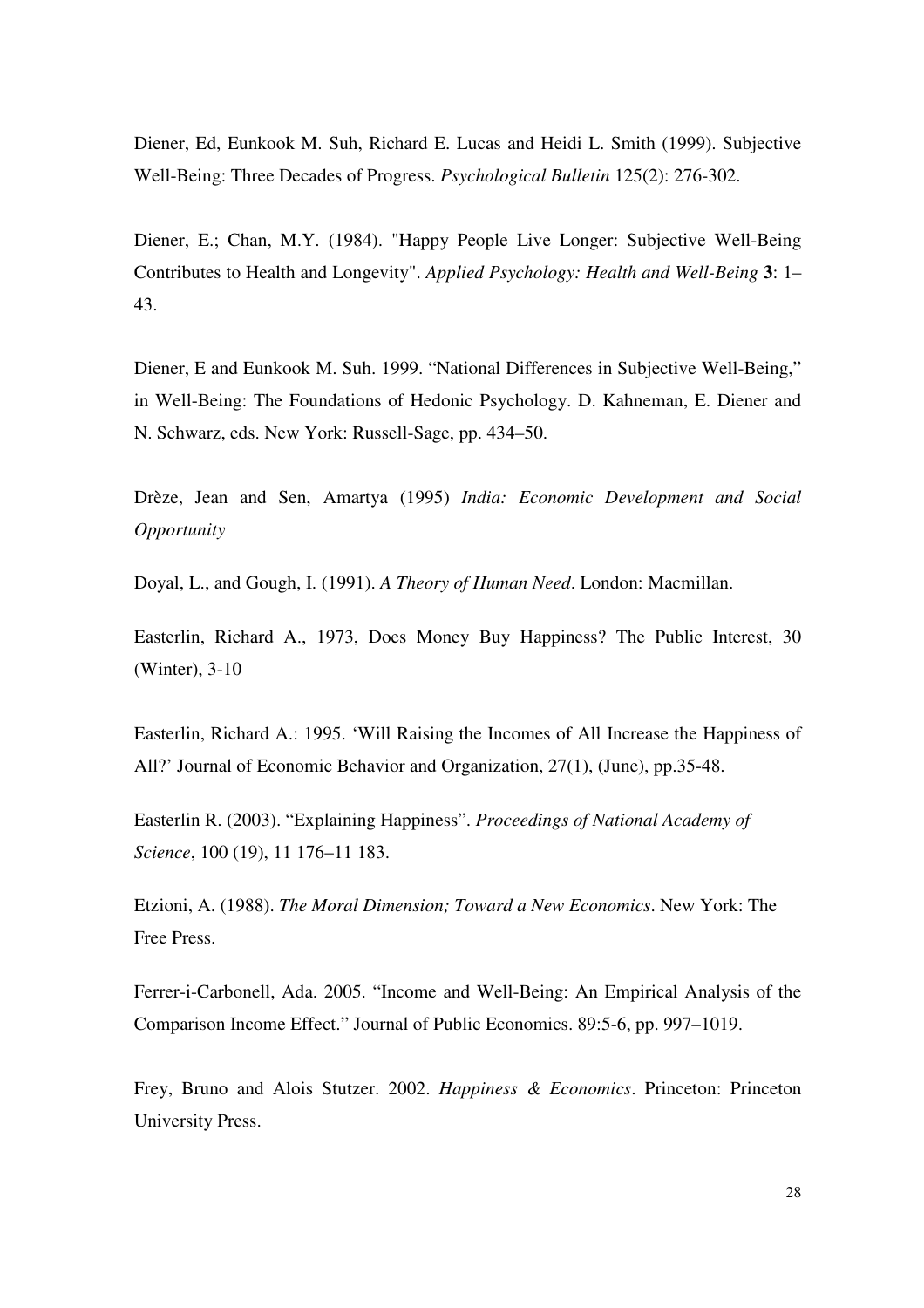Diener, Ed, Eunkook M. Suh, Richard E. Lucas and Heidi L. Smith (1999). Subjective Well-Being: Three Decades of Progress. *Psychological Bulletin* 125(2): 276-302.

Diener, E.; Chan, M.Y. (1984). "Happy People Live Longer: Subjective Well-Being Contributes to Health and Longevity". *Applied Psychology: Health and Well-Being* **3**: 1– 43.

Diener, E and Eunkook M. Suh. 1999. "National Differences in Subjective Well-Being," in Well-Being: The Foundations of Hedonic Psychology. D. Kahneman, E. Diener and N. Schwarz, eds. New York: Russell-Sage, pp. 434–50.

Drèze, Jean and Sen, Amartya (1995) *India: Economic Development and Social Opportunity*

Doyal, L., and Gough, I. (1991). *A Theory of Human Need*. London: Macmillan.

Easterlin, Richard A., 1973, Does Money Buy Happiness? The Public Interest, 30 (Winter), 3-10

Easterlin, Richard A.: 1995. 'Will Raising the Incomes of All Increase the Happiness of All?' Journal of Economic Behavior and Organization, 27(1), (June), pp.35-48.

Easterlin R. (2003). "Explaining Happiness". *Proceedings of National Academy of Science*, 100 (19), 11 176–11 183.

Etzioni, A. (1988). *The Moral Dimension; Toward a New Economics*. New York: The Free Press.

Ferrer-i-Carbonell, Ada. 2005. "Income and Well-Being: An Empirical Analysis of the Comparison Income Effect." Journal of Public Economics. 89:5-6, pp. 997–1019.

Frey, Bruno and Alois Stutzer. 2002. *Happiness & Economics*. Princeton: Princeton University Press.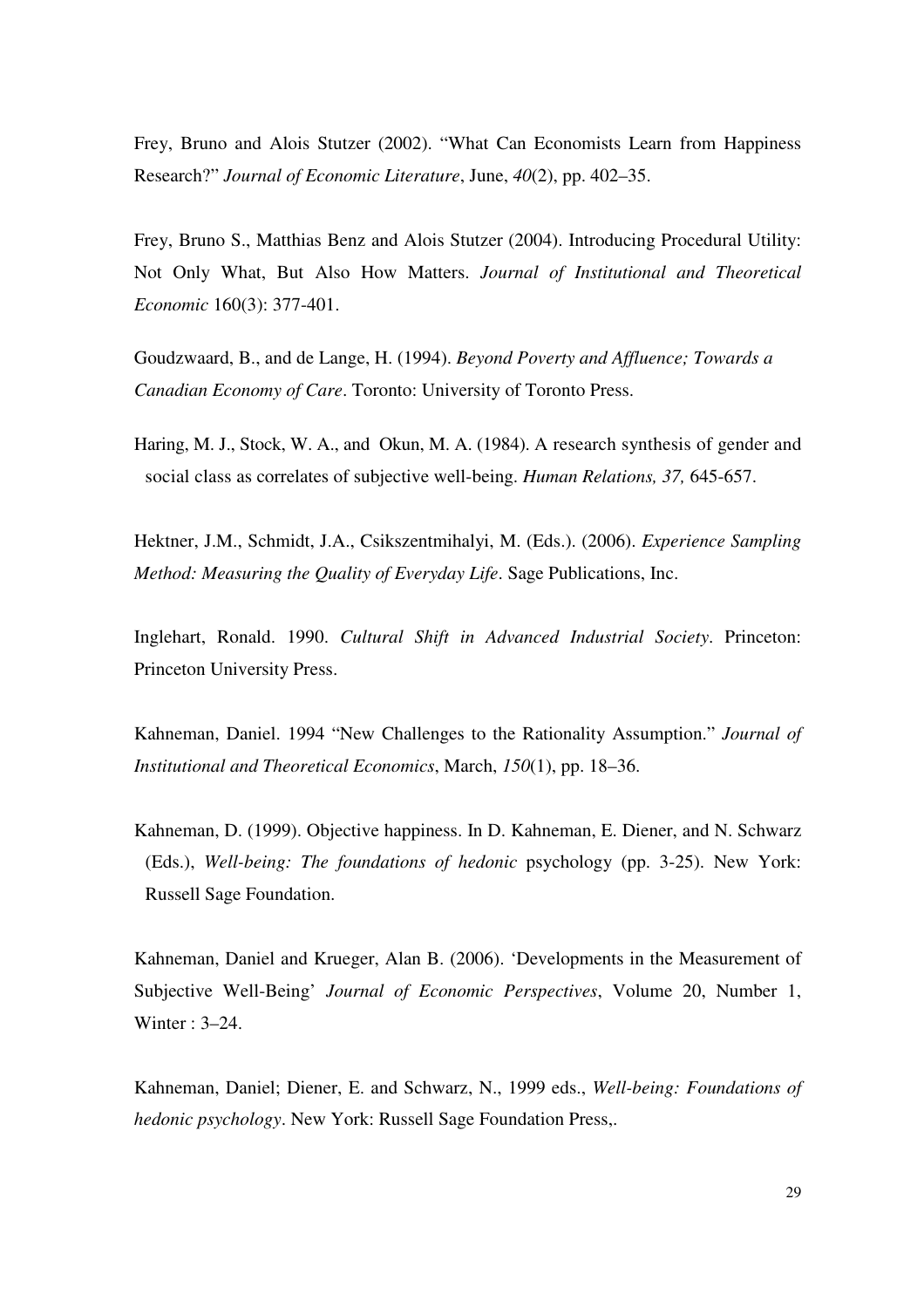Frey, Bruno and Alois Stutzer (2002). "What Can Economists Learn from Happiness Research?" *Journal of Economic Literature*, June, *40*(2), pp. 402–35.

Frey, Bruno S., Matthias Benz and Alois Stutzer (2004). Introducing Procedural Utility: Not Only What, But Also How Matters. *Journal of Institutional and Theoretical Economic* 160(3): 377-401.

Goudzwaard, B., and de Lange, H. (1994). *Beyond Poverty and Affluence; Towards a Canadian Economy of Care*. Toronto: University of Toronto Press.

Haring, M. J., Stock, W. A., and Okun, M. A. (1984). A research synthesis of gender and social class as correlates of subjective well-being. *Human Relations, 37,* 645-657.

Hektner, J.M., Schmidt, J.A., Csikszentmihalyi, M. (Eds.). (2006). *Experience Sampling Method: Measuring the Quality of Everyday Life*. Sage Publications, Inc.

Inglehart, Ronald. 1990. *Cultural Shift in Advanced Industrial Society*. Princeton: Princeton University Press.

Kahneman, Daniel. 1994 "New Challenges to the Rationality Assumption." *Journal of Institutional and Theoretical Economics*, March, *150*(1), pp. 18–36.

Kahneman, D. (1999). Objective happiness. In D. Kahneman, E. Diener, and N. Schwarz (Eds.), *Well-being: The foundations of hedonic* psychology (pp. 3-25). New York: Russell Sage Foundation.

Kahneman, Daniel and Krueger, Alan B. (2006). 'Developments in the Measurement of Subjective Well-Being' *Journal of Economic Perspectives*, Volume 20, Number 1, Winter : 3–24.

Kahneman, Daniel; Diener, E. and Schwarz, N., 1999 eds., *Well-being: Foundations of hedonic psychology*. New York: Russell Sage Foundation Press,.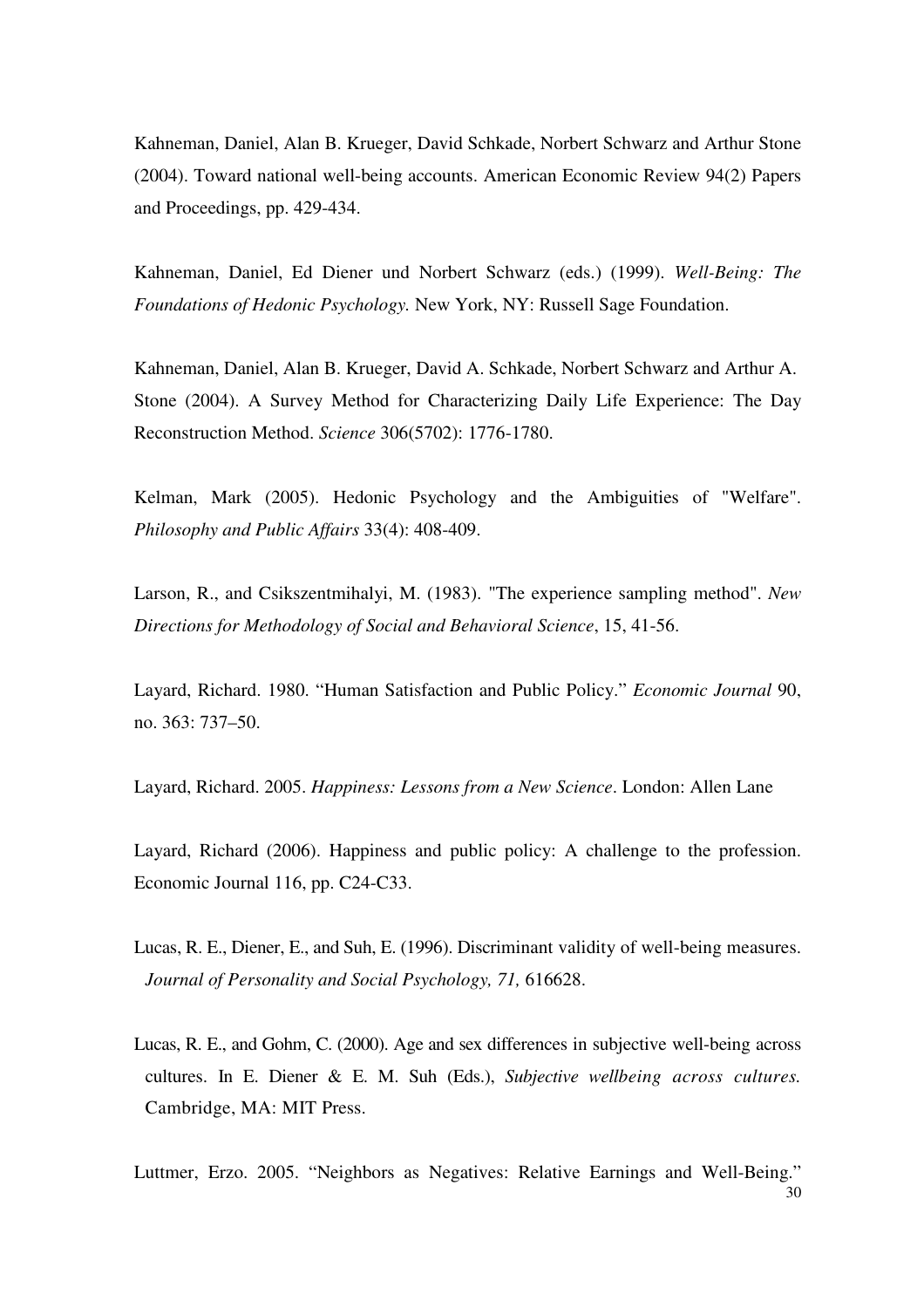Kahneman, Daniel, Alan B. Krueger, David Schkade, Norbert Schwarz and Arthur Stone (2004). Toward national well-being accounts. American Economic Review 94(2) Papers and Proceedings, pp. 429-434.

Kahneman, Daniel, Ed Diener und Norbert Schwarz (eds.) (1999). *Well-Being: The Foundations of Hedonic Psychology.* New York, NY: Russell Sage Foundation.

Kahneman, Daniel, Alan B. Krueger, David A. Schkade, Norbert Schwarz and Arthur A. Stone (2004). A Survey Method for Characterizing Daily Life Experience: The Day Reconstruction Method. *Science* 306(5702): 1776-1780.

Kelman, Mark (2005). Hedonic Psychology and the Ambiguities of "Welfare". *Philosophy and Public Affairs* 33(4): 408-409.

Larson, R., and Csikszentmihalyi, M. (1983). "The experience sampling method". *New Directions for Methodology of Social and Behavioral Science*, 15, 41-56.

Layard, Richard. 1980. "Human Satisfaction and Public Policy." *Economic Journal* 90, no. 363: 737–50.

Layard, Richard. 2005. *Happiness: Lessons from a New Science*. London: Allen Lane

Layard, Richard (2006). Happiness and public policy: A challenge to the profession. Economic Journal 116, pp. C24-C33.

- Lucas, R. E., Diener, E., and Suh, E. (1996). Discriminant validity of well-being measures. *Journal of Personality and Social Psychology, 71,* 616628.
- Lucas, R. E., and Gohm, C. (2000). Age and sex differences in subjective well-being across cultures. In E. Diener & E. M. Suh (Eds.), *Subjective wellbeing across cultures.*  Cambridge, MA: MIT Press.

30 Luttmer, Erzo. 2005. "Neighbors as Negatives: Relative Earnings and Well-Being."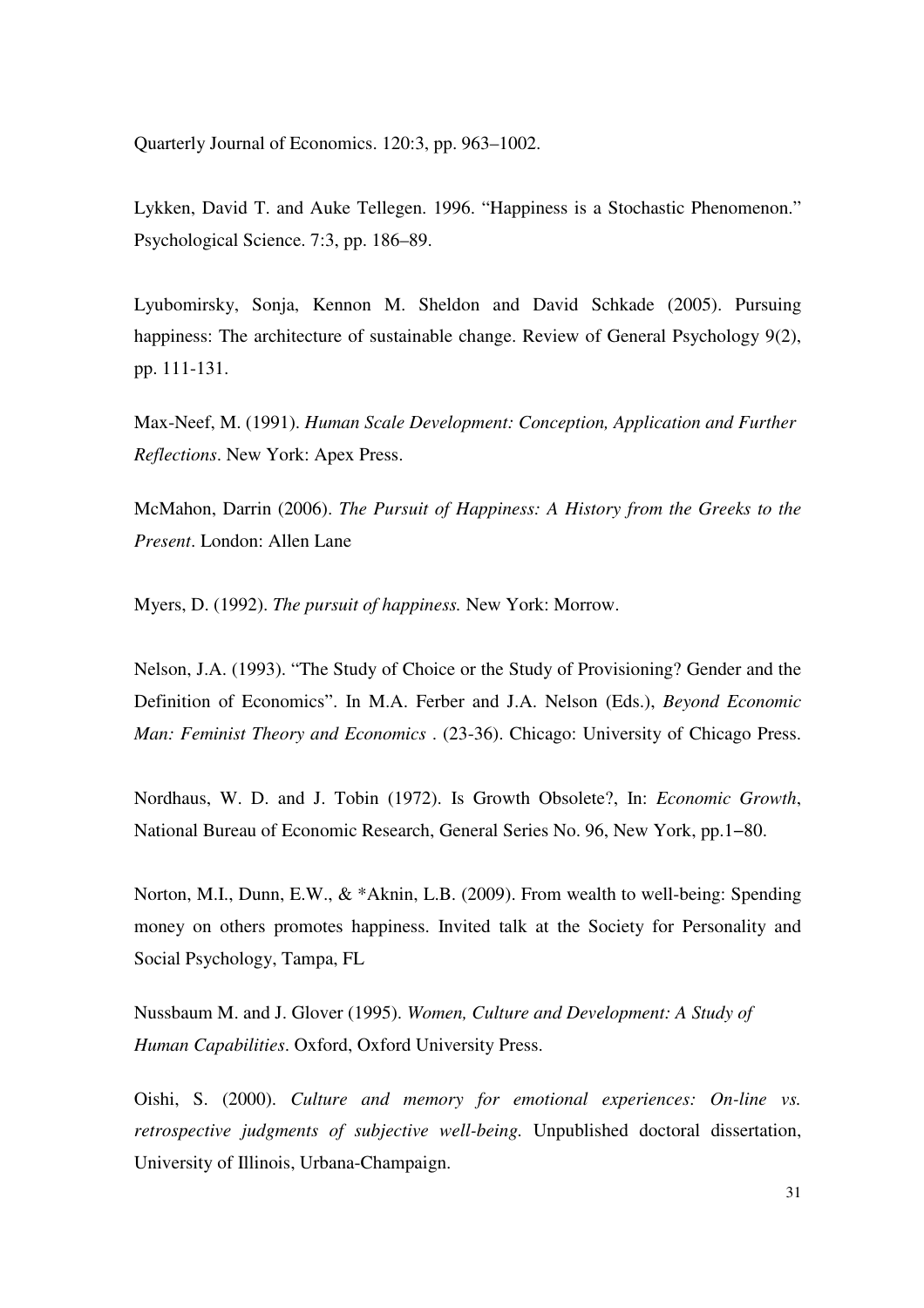Quarterly Journal of Economics. 120:3, pp. 963–1002.

Lykken, David T. and Auke Tellegen. 1996. "Happiness is a Stochastic Phenomenon." Psychological Science. 7:3, pp. 186–89.

Lyubomirsky, Sonja, Kennon M. Sheldon and David Schkade (2005). Pursuing happiness: The architecture of sustainable change. Review of General Psychology 9(2), pp. 111-131.

Max-Neef, M. (1991). *Human Scale Development: Conception, Application and Further Reflections*. New York: Apex Press.

McMahon, Darrin (2006). *The Pursuit of Happiness: A History from the Greeks to the Present*. London: Allen Lane

Myers, D. (1992). *The pursuit of happiness.* New York: Morrow.

Nelson, J.A. (1993). "The Study of Choice or the Study of Provisioning? Gender and the Definition of Economics". In M.A. Ferber and J.A. Nelson (Eds.), *Beyond Economic Man: Feminist Theory and Economics* . (23-36). Chicago: University of Chicago Press.

Nordhaus, W. D. and J. Tobin (1972). Is Growth Obsolete?, In: *Economic Growth*, National Bureau of Economic Research, General Series No. 96, New York, pp.1−80.

Norton, M.I., Dunn, E.W., & \*Aknin, L.B. (2009). From wealth to well-being: Spending money on others promotes happiness. Invited talk at the Society for Personality and Social Psychology, Tampa, FL

Nussbaum M. and J. Glover (1995). *Women, Culture and Development: A Study of Human Capabilities*. Oxford, Oxford University Press.

Oishi, S. (2000). *Culture and memory for emotional experiences: On-line vs. retrospective judgments of subjective well-being.* Unpublished doctoral dissertation, University of Illinois, Urbana-Champaign.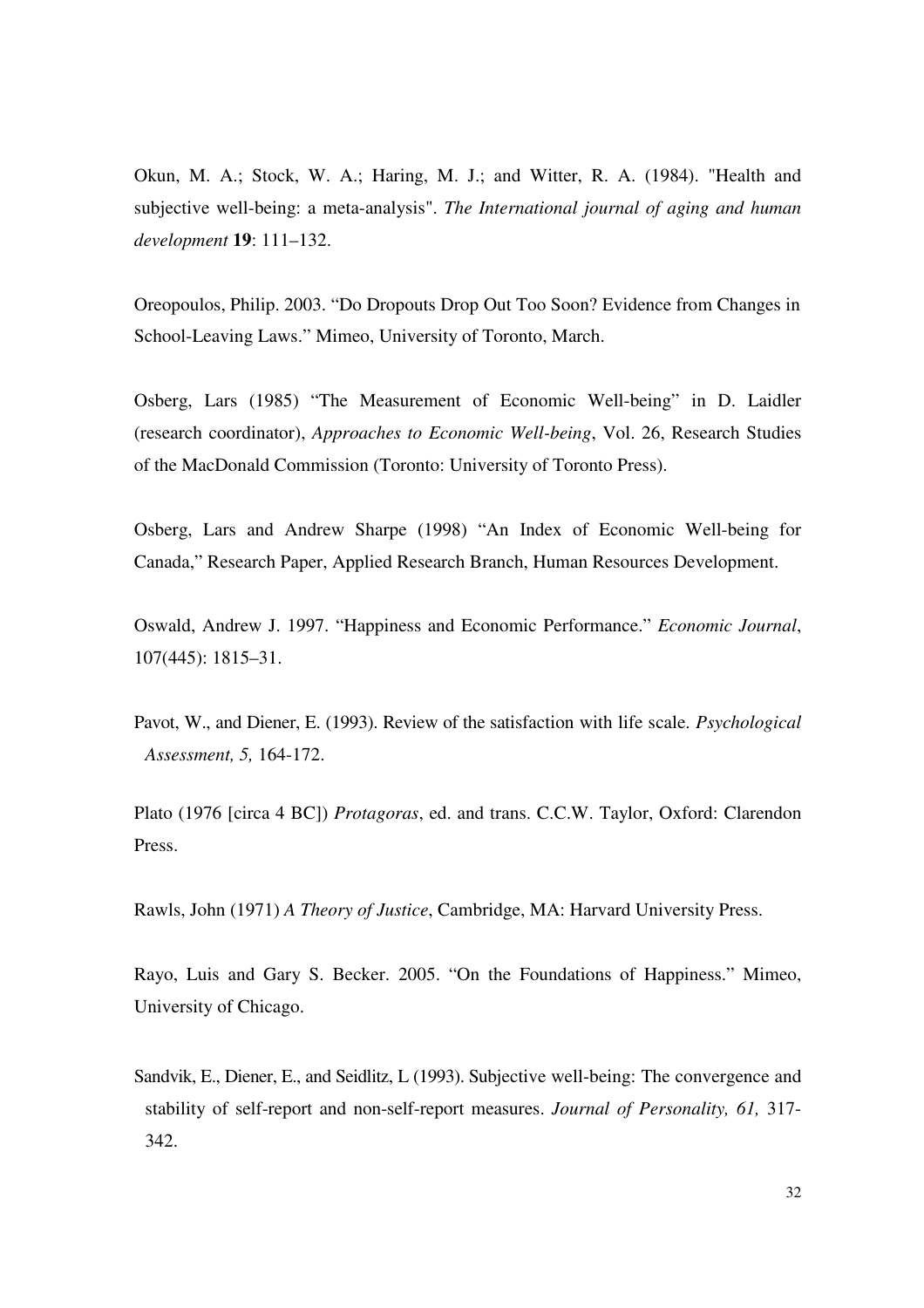Okun, M. A.; Stock, W. A.; Haring, M. J.; and Witter, R. A. (1984). "Health and subjective well-being: a meta-analysis". *The International journal of aging and human development* **19**: 111–132.

Oreopoulos, Philip. 2003. "Do Dropouts Drop Out Too Soon? Evidence from Changes in School-Leaving Laws." Mimeo, University of Toronto, March.

Osberg, Lars (1985) "The Measurement of Economic Well-being" in D. Laidler (research coordinator), *Approaches to Economic Well-being*, Vol. 26, Research Studies of the MacDonald Commission (Toronto: University of Toronto Press).

Osberg, Lars and Andrew Sharpe (1998) "An Index of Economic Well-being for Canada," Research Paper, Applied Research Branch, Human Resources Development.

Oswald, Andrew J. 1997. "Happiness and Economic Performance." *Economic Journal*, 107(445): 1815–31.

Pavot, W., and Diener, E. (1993). Review of the satisfaction with life scale. *Psychological Assessment, 5,* 164-172.

Plato (1976 [circa 4 BC]) *Protagoras*, ed. and trans. C.C.W. Taylor, Oxford: Clarendon Press.

Rawls, John (1971) *A Theory of Justice*, Cambridge, MA: Harvard University Press.

Rayo, Luis and Gary S. Becker. 2005. "On the Foundations of Happiness." Mimeo, University of Chicago.

Sandvik, E., Diener, E., and Seidlitz, L (1993). Subjective well-being: The convergence and stability of self-report and non-self-report measures. *Journal of Personality, 61,* 317- 342.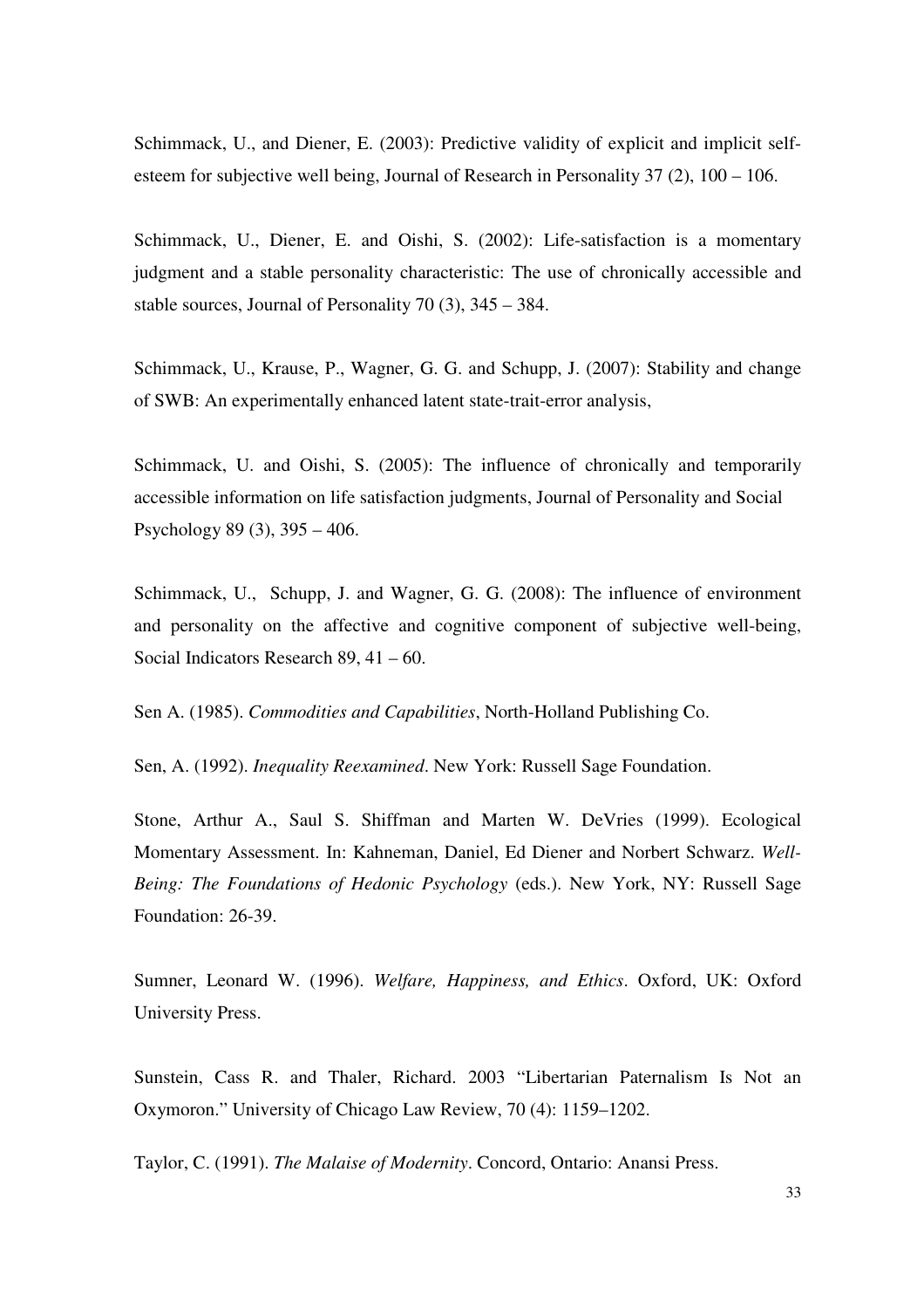Schimmack, U., and Diener, E. (2003): Predictive validity of explicit and implicit selfesteem for subjective well being, Journal of Research in Personality 37 (2), 100 – 106.

Schimmack, U., Diener, E. and Oishi, S. (2002): Life-satisfaction is a momentary judgment and a stable personality characteristic: The use of chronically accessible and stable sources, Journal of Personality 70 (3), 345 – 384.

Schimmack, U., Krause, P., Wagner, G. G. and Schupp, J. (2007): Stability and change of SWB: An experimentally enhanced latent state-trait-error analysis,

Schimmack, U. and Oishi, S. (2005): The influence of chronically and temporarily accessible information on life satisfaction judgments, Journal of Personality and Social Psychology 89 (3), 395 – 406.

Schimmack, U., Schupp, J. and Wagner, G. G. (2008): The influence of environment and personality on the affective and cognitive component of subjective well-being, Social Indicators Research 89, 41 – 60.

Sen A. (1985). *Commodities and Capabilities*, North-Holland Publishing Co.

Sen, A. (1992). *Inequality Reexamined*. New York: Russell Sage Foundation.

Stone, Arthur A., Saul S. Shiffman and Marten W. DeVries (1999). Ecological Momentary Assessment. In: Kahneman, Daniel, Ed Diener and Norbert Schwarz. *Well-Being: The Foundations of Hedonic Psychology* (eds.). New York, NY: Russell Sage Foundation: 26-39.

Sumner, Leonard W. (1996). *Welfare, Happiness, and Ethics*. Oxford, UK: Oxford University Press.

Sunstein, Cass R. and Thaler, Richard. 2003 "Libertarian Paternalism Is Not an Oxymoron." University of Chicago Law Review, 70 (4): 1159–1202.

Taylor, C. (1991). *The Malaise of Modernity*. Concord, Ontario: Anansi Press.